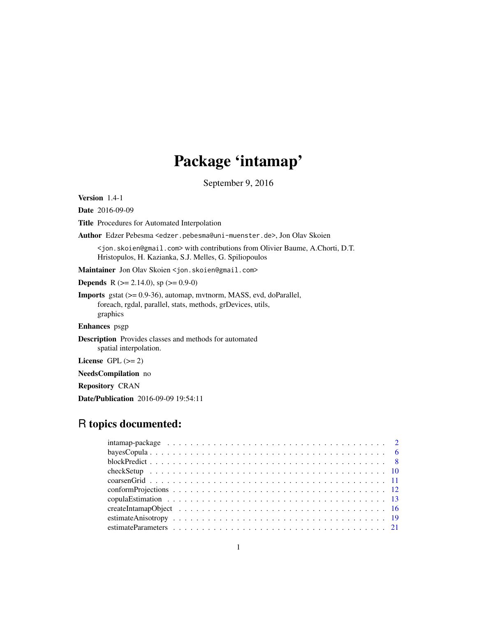# Package 'intamap'

September 9, 2016

<span id="page-0-0"></span>Version 1.4-1

Date 2016-09-09

Title Procedures for Automated Interpolation

Author Edzer Pebesma <edzer.pebesma@uni-muenster.de>, Jon Olav Skoien

<jon.skoien@gmail.com> with contributions from Olivier Baume, A.Chorti, D.T. Hristopulos, H. Kazianka, S.J. Melles, G. Spiliopoulos

Maintainer Jon Olav Skoien <jon.skoien@gmail.com>

**Depends** R ( $>= 2.14.0$ ), sp ( $>= 0.9-0$ )

Imports gstat (>= 0.9-36), automap, mvtnorm, MASS, evd, doParallel, foreach, rgdal, parallel, stats, methods, grDevices, utils, graphics

Enhances psgp

Description Provides classes and methods for automated spatial interpolation.

License GPL  $(>= 2)$ 

NeedsCompilation no

Repository CRAN

Date/Publication 2016-09-09 19:54:11

# R topics documented: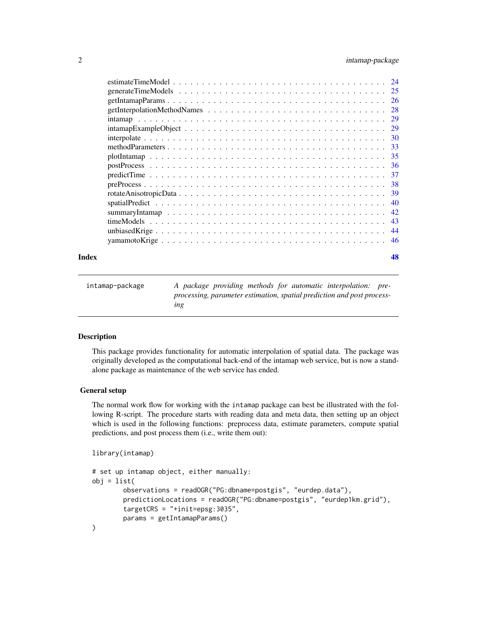# <span id="page-1-0"></span>2 intamap-package

|  | -28 |
|--|-----|
|  |     |
|  |     |
|  |     |
|  |     |
|  |     |
|  |     |
|  |     |
|  |     |
|  |     |
|  |     |
|  |     |
|  |     |
|  |     |
|  |     |
|  |     |

# **Index a** set of the contract of the contract of the contract of the contract of the contract of the contract of the contract of the contract of the contract of the contract of the contract of the contract of the contrac

<span id="page-1-1"></span>

| intamap-package | A package providing methods for automatic interpolation: pre-                 |
|-----------------|-------------------------------------------------------------------------------|
|                 | processing, parameter estimation, spatial prediction and post process-<br>ing |

# Description

This package provides functionality for automatic interpolation of spatial data. The package was originally developed as the computational back-end of the intamap web service, but is now a standalone package as maintenance of the web service has ended.

# General setup

The normal work flow for working with the intamap package can best be illustrated with the following R-script. The procedure starts with reading data and meta data, then setting up an object which is used in the following functions: preprocess data, estimate parameters, compute spatial predictions, and post process them (i.e., write them out):

```
library(intamap)
```

```
# set up intamap object, either manually:
obj = list(observations = readOGR("PG:dbname=postgis", "eurdep.data"),
       predictionLocations = readOGR("PG:dbname=postgis", "eurdep1km.grid"),
       targetCRS = "+init=epsg:3035",
       params = getIntamapParams()
)
```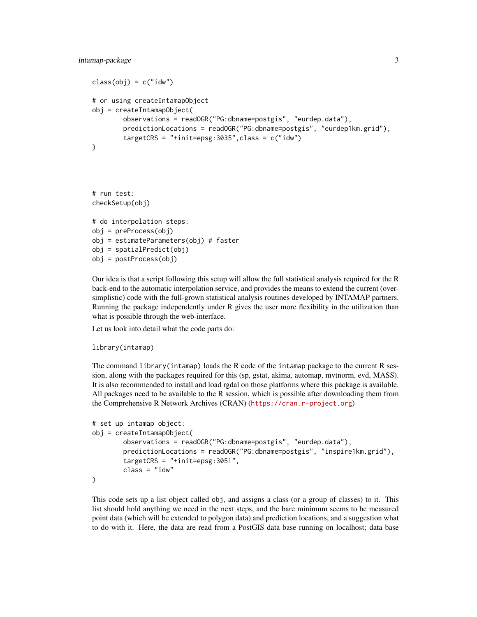```
class(obj) = c("idw")# or using createIntamapObject
obj = createIntamapObject(
        observations = readOGR("PG:dbname=postgis", "eurdep.data"),
        predictionLocations = readOGR("PG:dbname=postgis", "eurdep1km.grid"),
        targetCRS = "+init=epsg:3035", class = c("idw"))
# run test:
checkSetup(obj)
# do interpolation steps:
obj = preProcess(obj)
obj = estimateParameters(obj) # faster
obj = spatialPredict(obj)
obj = postProcess(obj)
```
Our idea is that a script following this setup will allow the full statistical analysis required for the R back-end to the automatic interpolation service, and provides the means to extend the current (oversimplistic) code with the full-grown statistical analysis routines developed by INTAMAP partners. Running the package independently under R gives the user more flexibility in the utilization than what is possible through the web-interface.

Let us look into detail what the code parts do:

```
library(intamap)
```
The command library(intamap) loads the R code of the intamap package to the current R session, along with the packages required for this (sp, gstat, akima, automap, mvtnorm, evd, MASS). It is also recommended to install and load rgdal on those platforms where this package is available. All packages need to be available to the R session, which is possible after downloading them from the Comprehensive R Network Archives (CRAN) (<https://cran.r-project.org>)

```
# set up intamap object:
obj = createIntamapObject(
       observations = readOGR("PG:dbname=postgis", "eurdep.data"),
       predictionLocations = readOGR("PG:dbname=postgis", "inspire1km.grid"),
        targetCRS = "+init=epsg:3051",
       class = "idw"
)
```
This code sets up a list object called obj, and assigns a class (or a group of classes) to it. This list should hold anything we need in the next steps, and the bare minimum seems to be measured point data (which will be extended to polygon data) and prediction locations, and a suggestion what to do with it. Here, the data are read from a PostGIS data base running on localhost; data base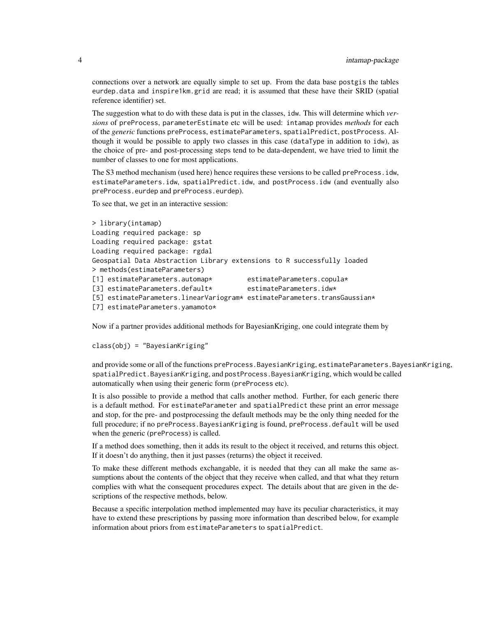connections over a network are equally simple to set up. From the data base postgis the tables eurdep.data and inspire1km.grid are read; it is assumed that these have their SRID (spatial reference identifier) set.

The suggestion what to do with these data is put in the classes, idw. This will determine which *versions* of preProcess, parameterEstimate etc will be used: intamap provides *methods* for each of the *generic* functions preProcess, estimateParameters, spatialPredict, postProcess. Although it would be possible to apply two classes in this case (dataType in addition to idw), as the choice of pre- and post-processing steps tend to be data-dependent, we have tried to limit the number of classes to one for most applications.

The S3 method mechanism (used here) hence requires these versions to be called preProcess.idw, estimateParameters.idw, spatialPredict.idw, and postProcess.idw (and eventually also preProcess.eurdep and preProcess.eurdep).

To see that, we get in an interactive session:

```
> library(intamap)
Loading required package: sp
Loading required package: gstat
Loading required package: rgdal
Geospatial Data Abstraction Library extensions to R successfully loaded
> methods(estimateParameters)
[1] estimateParameters.automap* estimateParameters.copula*
[3] estimateParameters.default* estimateParameters.idw*
[5] estimateParameters.linearVariogram* estimateParameters.transGaussian*
[7] estimateParameters.yamamoto*
```
Now if a partner provides additional methods for BayesianKriging, one could integrate them by

```
class(obj) = "BayesianKriging"
```
and provide some or all of the functions preProcess.BayesianKriging, estimateParameters.BayesianKriging, spatialPredict.BayesianKriging, and postProcess.BayesianKriging, which would be called automatically when using their generic form (preProcess etc).

It is also possible to provide a method that calls another method. Further, for each generic there is a default method. For estimateParameter and spatialPredict these print an error message and stop, for the pre- and postprocessing the default methods may be the only thing needed for the full procedure; if no preProcess.BayesianKriging is found, preProcess.default will be used when the generic (preProcess) is called.

If a method does something, then it adds its result to the object it received, and returns this object. If it doesn't do anything, then it just passes (returns) the object it received.

To make these different methods exchangable, it is needed that they can all make the same assumptions about the contents of the object that they receive when called, and that what they return complies with what the consequent procedures expect. The details about that are given in the descriptions of the respective methods, below.

Because a specific interpolation method implemented may have its peculiar characteristics, it may have to extend these prescriptions by passing more information than described below, for example information about priors from estimateParameters to spatialPredict.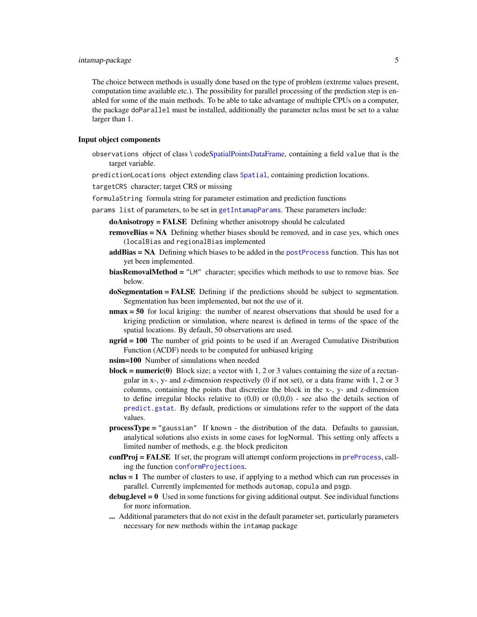<span id="page-4-0"></span>The choice between methods is usually done based on the type of problem (extreme values present, computation time available etc.). The possibility for parallel processing of the prediction step is enabled for some of the main methods. To be able to take advantage of multiple CPUs on a computer, the package doParallel must be installed, additionally the parameter nclus must be set to a value larger than 1.

#### Input object components

- observations object of class \ cod[eSpatialPointsDataFrame,](#page-0-0) containing a field value that is the target variable.
- predictionLocations object extending class [Spatial](#page-0-0), containing prediction locations.

targetCRS character; target CRS or missing

formulaString formula string for parameter estimation and prediction functions

- params list of parameters, to be set in [getIntamapParams](#page-25-1). These parameters include:
	- doAnisotropy = FALSE Defining whether anisotropy should be calculated
	- removeBias = NA Defining whether biases should be removed, and in case yes, which ones (localBias and regionalBias implemented
	- addBias = NA Defining which biases to be added in the [postProcess](#page-35-1) function. This has not yet been implemented.
	- **biasRemovalMethod** =  $"LM"$  character; specifies which methods to use to remove bias. See below.
	- doSegmentation = FALSE Defining if the predictions should be subject to segmentation. Segmentation has been implemented, but not the use of it.
	- nmax = 50 for local kriging: the number of nearest observations that should be used for a kriging prediction or simulation, where nearest is defined in terms of the space of the spatial locations. By default, 50 observations are used.
	- ngrid = 100 The number of grid points to be used if an Averaged Cumulative Distribution Function (ACDF) needs to be computed for unbiased kriging
	- nsim=100 Number of simulations when needed
	- **block = numeric(0)** Block size; a vector with 1, 2 or 3 values containing the size of a rectangular in x-, y- and z-dimension respectively (0 if not set), or a data frame with 1, 2 or 3 columns, containing the points that discretize the block in the x-, y- and z-dimension to define irregular blocks relative to  $(0,0)$  or  $(0,0,0)$  - see also the details section of [predict.gstat](#page-0-0). By default, predictions or simulations refer to the support of the data values.
	- processType = "gaussian" If known the distribution of the data. Defaults to gaussian, analytical solutions also exists in some cases for logNormal. This setting only affects a limited number of methods, e.g. the block prediciton
	- confProj = FALSE If set, the program will attempt conform projections in [preProcess](#page-37-1), calling the function [conformProjections](#page-11-1).
	- nclus = 1 The number of clusters to use, if applying to a method which can run processes in parallel. Currently implemented for methods automap, copula and psgp.
	- debug.level  $= 0$  Used in some functions for giving additional output. See individual functions for more information.
	- .... Additional parameters that do not exist in the default parameter set, particularly parameters necessary for new methods within the intamap package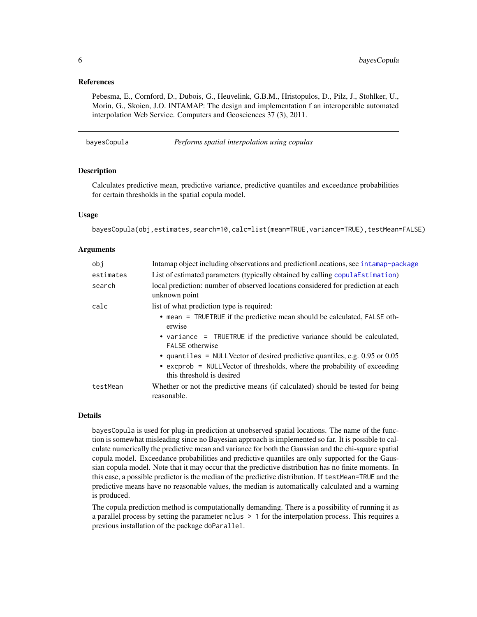# <span id="page-5-0"></span>References

Pebesma, E., Cornford, D., Dubois, G., Heuvelink, G.B.M., Hristopulos, D., Pilz, J., Stohlker, U., Morin, G., Skoien, J.O. INTAMAP: The design and implementation f an interoperable automated interpolation Web Service. Computers and Geosciences 37 (3), 2011.

<span id="page-5-1"></span>

| bayesCopula | Performs spatial interpolation using copulas |
|-------------|----------------------------------------------|
|             |                                              |

# **Description**

Calculates predictive mean, predictive variance, predictive quantiles and exceedance probabilities for certain thresholds in the spatial copula model.

# Usage

bayesCopula(obj,estimates,search=10,calc=list(mean=TRUE,variance=TRUE),testMean=FALSE)

#### Arguments

| obi       | Intamap object including observations and prediction Locations, see intamap-package                                                                                                        |
|-----------|--------------------------------------------------------------------------------------------------------------------------------------------------------------------------------------------|
| estimates | List of estimated parameters (typically obtained by calling copulaEstimation)                                                                                                              |
| search    | local prediction: number of observed locations considered for prediction at each<br>unknown point                                                                                          |
| calc      | list of what prediction type is required:                                                                                                                                                  |
|           | • mean = TRUETRUE if the predictive mean should be calculated, FALSE oth-<br>erwise                                                                                                        |
|           | • variance = TRUETRUE if the predictive variance should be calculated,<br><b>FAI SF otherwise</b>                                                                                          |
|           | • quantiles = NULL Vector of desired predictive quantiles, e.g. $0.95$ or $0.05$<br>• excprob = NULL Vector of thresholds, where the probability of exceeding<br>this threshold is desired |
| testMean  | Whether or not the predictive means (if calculated) should be tested for being<br>reasonable.                                                                                              |

# Details

bayesCopula is used for plug-in prediction at unobserved spatial locations. The name of the function is somewhat misleading since no Bayesian approach is implemented so far. It is possible to calculate numerically the predictive mean and variance for both the Gaussian and the chi-square spatial copula model. Exceedance probabilities and predictive quantiles are only supported for the Gaussian copula model. Note that it may occur that the predictive distribution has no finite moments. In this case, a possible predictor is the median of the predictive distribution. If testMean=TRUE and the predictive means have no reasonable values, the median is automatically calculated and a warning is produced.

The copula prediction method is computationally demanding. There is a possibility of running it as a parallel process by setting the parameter nclus > 1 for the interpolation process. This requires a previous installation of the package doParallel.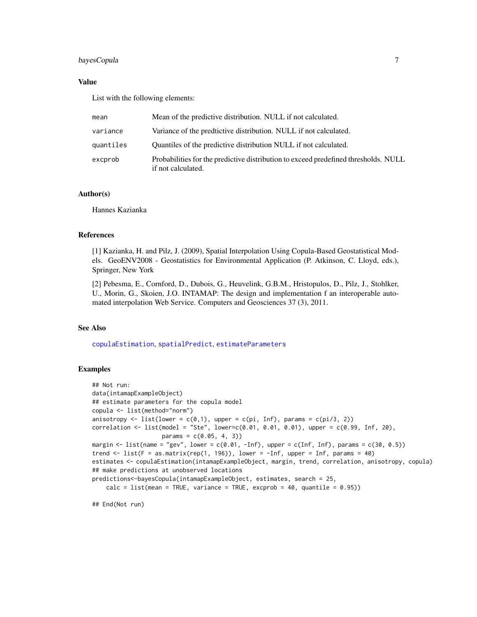# <span id="page-6-0"></span>bayesCopula 7

# Value

List with the following elements:

| mean      | Mean of the predictive distribution. NULL if not calculated.                                              |
|-----------|-----------------------------------------------------------------------------------------------------------|
| variance  | Variance of the predtictive distribution. NULL if not calculated.                                         |
| quantiles | Quantiles of the predictive distribution NULL if not calculated.                                          |
| excprob   | Probabilities for the predictive distribution to exceed predefined thresholds. NULL<br>if not calculated. |

# Author(s)

Hannes Kazianka

# References

[1] Kazianka, H. and Pilz, J. (2009), Spatial Interpolation Using Copula-Based Geostatistical Models. GeoENV2008 - Geostatistics for Environmental Application (P. Atkinson, C. Lloyd, eds.), Springer, New York

[2] Pebesma, E., Cornford, D., Dubois, G., Heuvelink, G.B.M., Hristopulos, D., Pilz, J., Stohlker, U., Morin, G., Skoien, J.O. INTAMAP: The design and implementation f an interoperable automated interpolation Web Service. Computers and Geosciences 37 (3), 2011.

# See Also

[copulaEstimation](#page-12-1), [spatialPredict](#page-39-1), [estimateParameters](#page-20-1)

# Examples

```
## Not run:
data(intamapExampleObject)
## estimate parameters for the copula model
copula <- list(method="norm")
anisotropy \le list(lower = c(0,1), upper = c(pi, Inf), params = c(pi/3, 2))
correlation \le list(model = "Ste", lower=c(0.01, 0.01, 0.01), upper = c(0.99, Inf, 20),
                    params = c(0.05, 4, 3))margin \le list(name = "gev", lower = c(0.01, -Inf), upper = c(Inf, Inf), params = c(30, 0.5))
trend \le list(F = as.matrix(rep(1, 196)), lower = -Inf, upper = Inf, params = 40)
estimates <- copulaEstimation(intamapExampleObject, margin, trend, correlation, anisotropy, copula)
## make predictions at unobserved locations
predictions<-bayesCopula(intamapExampleObject, estimates, search = 25,
    calc = list(mean = TRUE, variance = TRUE, except = 40, quantile = 0.95))
```
## End(Not run)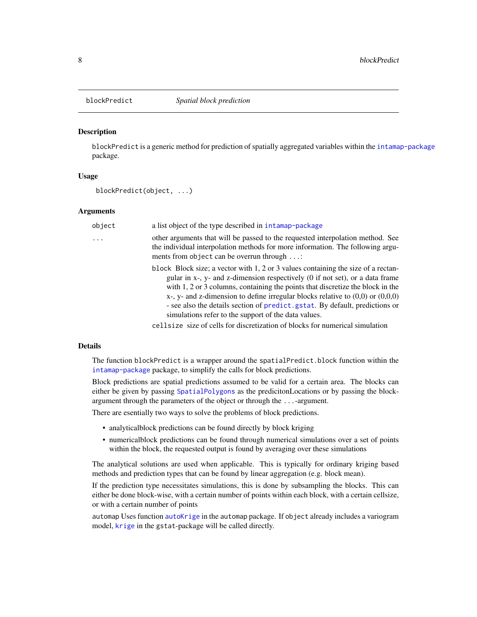<span id="page-7-0"></span>

## **Description**

blockPredict is a generic method for prediction of spatially aggregated variables within the [intamap-package](#page-1-1) package.

#### Usage

blockPredict(object, ...)

# Arguments

| object | a list object of the type described in intamap-package                                                                                                                                                                                                                                                                                                                                                                                                                                  |
|--------|-----------------------------------------------------------------------------------------------------------------------------------------------------------------------------------------------------------------------------------------------------------------------------------------------------------------------------------------------------------------------------------------------------------------------------------------------------------------------------------------|
| .      | other arguments that will be passed to the requested interpolation method. See<br>the individual interpolation methods for more information. The following argu-<br>ments from object can be overrun through :                                                                                                                                                                                                                                                                          |
|        | block Block size; a vector with 1, 2 or 3 values containing the size of a rectan-<br>gular in x-, y- and z-dimension respectively (0 if not set), or a data frame<br>with 1, 2 or 3 columns, containing the points that discretize the block in the<br>$x$ -, $y$ - and z-dimension to define irregular blocks relative to $(0,0)$ or $(0,0,0)$<br>- see also the details section of predict, gstat. By default, predictions or<br>simulations refer to the support of the data values. |
|        | cellsize size of cells for discretization of blocks for numerical simulation                                                                                                                                                                                                                                                                                                                                                                                                            |

# Details

The function blockPredict is a wrapper around the spatialPredict.block function within the [intamap-package](#page-1-1) package, to simplify the calls for block predictions.

Block predictions are spatial predictions assumed to be valid for a certain area. The blocks can either be given by passing [SpatialPolygons](#page-0-0) as the predicitonLocations or by passing the blockargument through the parameters of the object or through the ...-argument.

There are esentially two ways to solve the problems of block predictions.

- analyticalblock predictions can be found directly by block kriging
- numericalblock predictions can be found through numerical simulations over a set of points within the block, the requested output is found by averaging over these simulations

The analytical solutions are used when applicable. This is typically for ordinary kriging based methods and prediction types that can be found by linear aggregation (e.g. block mean).

If the prediction type necessitates simulations, this is done by subsampling the blocks. This can either be done block-wise, with a certain number of points within each block, with a certain cellsize, or with a certain number of points

automap Uses function [autoKrige](#page-0-0) in the automap package. If object already includes a variogram model, [krige](#page-0-0) in the gstat-package will be called directly.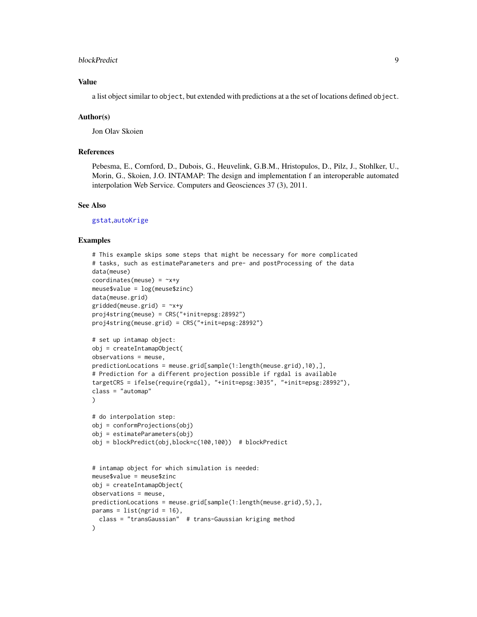#### <span id="page-8-0"></span>blockPredict 90 and 200 and 200 and 200 and 200 and 200 and 200 and 200 and 200 and 200 and 200 and 200 and 20

# Value

a list object similar to object, but extended with predictions at a the set of locations defined object.

#### Author(s)

Jon Olav Skoien

#### References

Pebesma, E., Cornford, D., Dubois, G., Heuvelink, G.B.M., Hristopulos, D., Pilz, J., Stohlker, U., Morin, G., Skoien, J.O. INTAMAP: The design and implementation f an interoperable automated interpolation Web Service. Computers and Geosciences 37 (3), 2011.

# See Also

[gstat](#page-0-0),[autoKrige](#page-0-0)

# Examples

```
# This example skips some steps that might be necessary for more complicated
# tasks, such as estimateParameters and pre- and postProcessing of the data
data(meuse)
coordinates(meuse) = -x+ymeuse$value = log(meuse$zinc)
data(meuse.grid)
gridded(meuse.grid) = \gamma x + yproj4string(meuse) = CRS("+init=epsg:28992")
proj4string(meuse.grid) = CRS("+init=epsg:28992")
# set up intamap object:
obj = createIntamapObject(
observations = meuse,
predictionLocations = meuse.grid[sample(1:length(meuse.grid),10),],
# Prediction for a different projection possible if rgdal is available
targetCRS = ifelse(require(rgdal), "+init=epsg:3035", "+init=epsg:28992"),
class = "automap"
)
# do interpolation step:
obj = conformProjections(obj)
obj = estimateParameters(obj)
obj = blockPredict(obj,block=c(100,100)) # blockPredict
# intamap object for which simulation is needed:
meuse$value = meuse$zinc
obj = createIntamapObject(
observations = meuse,
predictionLocations = meuse.grid[sample(1:length(meuse.grid),5),],
params = list(ngrid = 16),
  class = "transGaussian" # trans-Gaussian kriging method
)
```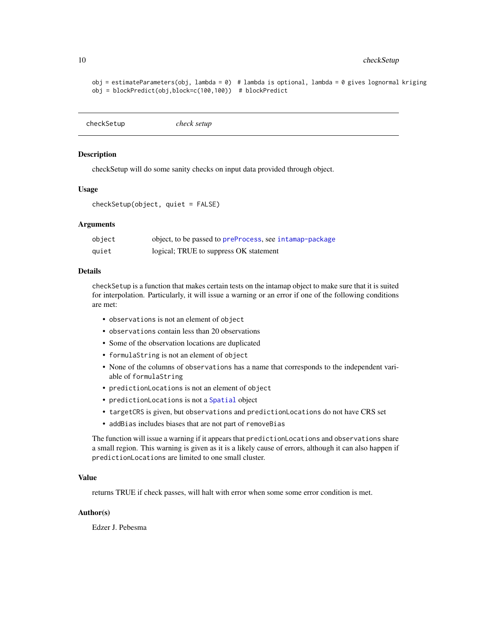```
obj = estimateParameters(obj, lambda = 0) # lambda is optional, lambda = 0 gives lognormal kriging
obj = blockPredict(obj,block=c(100,100)) # blockPredict
```
checkSetup *check setup*

# **Description**

checkSetup will do some sanity checks on input data provided through object.

# Usage

checkSetup(object, quiet = FALSE)

# Arguments

| object | object, to be passed to preProcess, see intamap-package |
|--------|---------------------------------------------------------|
| quiet  | logical; TRUE to suppress OK statement                  |

#### Details

checkSetup is a function that makes certain tests on the intamap object to make sure that it is suited for interpolation. Particularly, it will issue a warning or an error if one of the following conditions are met:

- observations is not an element of object
- observations contain less than 20 observations
- Some of the observation locations are duplicated
- formulaString is not an element of object
- None of the columns of observations has a name that corresponds to the independent variable of formulaString
- predictionLocations is not an element of object
- predictionLocations is not a [Spatial](#page-0-0) object
- targetCRS is given, but observations and predictionLocations do not have CRS set
- addBias includes biases that are not part of removeBias

The function will issue a warning if it appears that predictionLocations and observations share a small region. This warning is given as it is a likely cause of errors, although it can also happen if predictionLocations are limited to one small cluster.

# Value

returns TRUE if check passes, will halt with error when some some error condition is met.

# Author(s)

Edzer J. Pebesma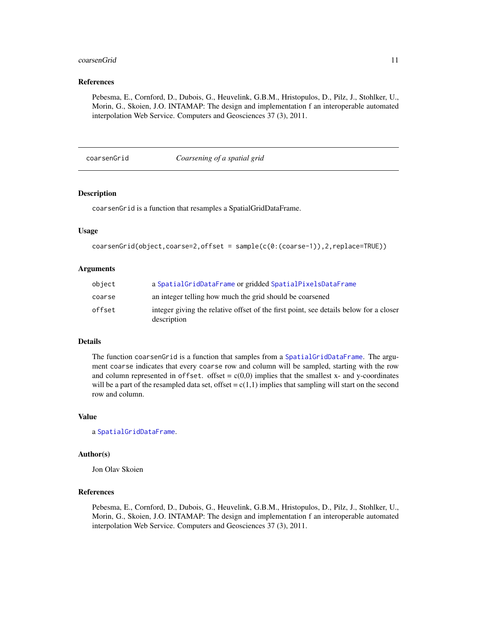#### <span id="page-10-0"></span>coarsenGrid 11

# References

Pebesma, E., Cornford, D., Dubois, G., Heuvelink, G.B.M., Hristopulos, D., Pilz, J., Stohlker, U., Morin, G., Skoien, J.O. INTAMAP: The design and implementation f an interoperable automated interpolation Web Service. Computers and Geosciences 37 (3), 2011.

#### coarsenGrid *Coarsening of a spatial grid*

# Description

coarsenGrid is a function that resamples a SpatialGridDataFrame.

#### Usage

```
coarsenGrid(object,coarse=2,offset = sample(c(0:(coarse-1)),2,replace=TRUE))
```
# Arguments

| object | a SpatialGridDataFrame or gridded SpatialPixelsDataFrame                                             |
|--------|------------------------------------------------------------------------------------------------------|
| coarse | an integer telling how much the grid should be coarsened                                             |
| offset | integer giving the relative offset of the first point, see details below for a closer<br>description |

#### Details

The function coarsenGrid is a function that samples from a [SpatialGridDataFrame](#page-0-0). The argument coarse indicates that every coarse row and column will be sampled, starting with the row and column represented in offset. offset =  $c(0,0)$  implies that the smallest x- and y-coordinates will be a part of the resampled data set, offset =  $c(1,1)$  implies that sampling will start on the second row and column.

# Value

a [SpatialGridDataFrame](#page-0-0).

# Author(s)

Jon Olav Skoien

# References

Pebesma, E., Cornford, D., Dubois, G., Heuvelink, G.B.M., Hristopulos, D., Pilz, J., Stohlker, U., Morin, G., Skoien, J.O. INTAMAP: The design and implementation f an interoperable automated interpolation Web Service. Computers and Geosciences 37 (3), 2011.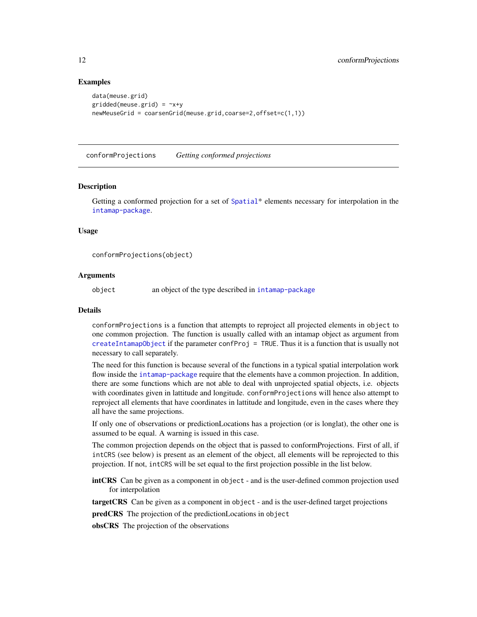# Examples

```
data(meuse.grid)
gridded(meuse.grid) = \gamma x + ynewMeuseGrid = coarsenGrid(meuse.grid,coarse=2,offset=c(1,1))
```
<span id="page-11-1"></span>conformProjections *Getting conformed projections*

#### **Description**

Getting a conformed projection for a set of [Spatial](#page-0-0)\* elements necessary for interpolation in the [intamap-package](#page-1-1).

# Usage

conformProjections(object)

# Arguments

object an object of the type described in [intamap-package](#page-1-1)

#### Details

conformProjections is a function that attempts to reproject all projected elements in object to one common projection. The function is usually called with an intamap object as argument from [createIntamapObject](#page-15-1) if the parameter confProj = TRUE. Thus it is a function that is usually not necessary to call separately.

The need for this function is because several of the functions in a typical spatial interpolation work flow inside the [intamap-package](#page-1-1) require that the elements have a common projection. In addition, there are some functions which are not able to deal with unprojected spatial objects, i.e. objects with coordinates given in lattitude and longitude. conformProjections will hence also attempt to reproject all elements that have coordinates in lattitude and longitude, even in the cases where they all have the same projections.

If only one of observations or predictionLocations has a projection (or is longlat), the other one is assumed to be equal. A warning is issued in this case.

The common projection depends on the object that is passed to conformProjections. First of all, if intCRS (see below) is present as an element of the object, all elements will be reprojected to this projection. If not, intCRS will be set equal to the first projection possible in the list below.

intCRS Can be given as a component in object - and is the user-defined common projection used for interpolation

targetCRS Can be given as a component in object - and is the user-defined target projections

predCRS The projection of the predictionLocations in object

obsCRS The projection of the observations

<span id="page-11-0"></span>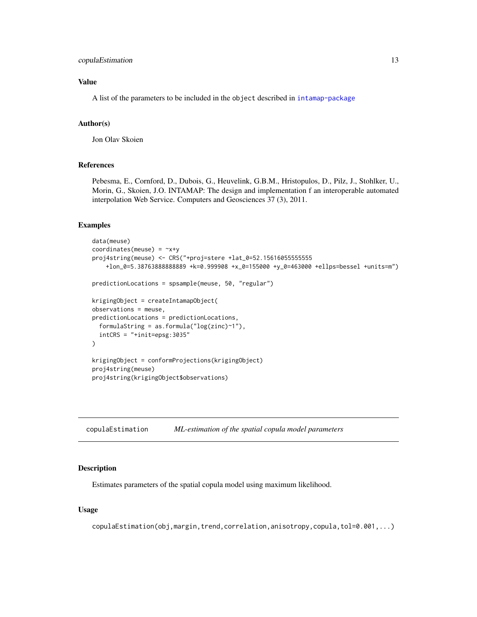# <span id="page-12-0"></span>copulaEstimation 13

# Value

A list of the parameters to be included in the object described in [intamap-package](#page-1-1)

# Author(s)

Jon Olav Skoien

# References

Pebesma, E., Cornford, D., Dubois, G., Heuvelink, G.B.M., Hristopulos, D., Pilz, J., Stohlker, U., Morin, G., Skoien, J.O. INTAMAP: The design and implementation f an interoperable automated interpolation Web Service. Computers and Geosciences 37 (3), 2011.

#### Examples

```
data(meuse)
coordinates(meuse) = -x+yproj4string(meuse) <- CRS("+proj=stere +lat_0=52.15616055555555
    +lon_0=5.38763888888889 +k=0.999908 +x_0=155000 +y_0=463000 +ellps=bessel +units=m")
predictionLocations = spsample(meuse, 50, "regular")
krigingObject = createIntamapObject(
observations = meuse,
predictionLocations = predictionLocations,
  formulaString = as.formula("log(zinc)~1"),
  intCRS = "+init=epsg:3035"
)
krigingObject = conformProjections(krigingObject)
proj4string(meuse)
proj4string(krigingObject$observations)
```
<span id="page-12-1"></span>copulaEstimation *ML-estimation of the spatial copula model parameters*

#### **Description**

Estimates parameters of the spatial copula model using maximum likelihood.

### Usage

copulaEstimation(obj,margin,trend,correlation,anisotropy,copula,tol=0.001,...)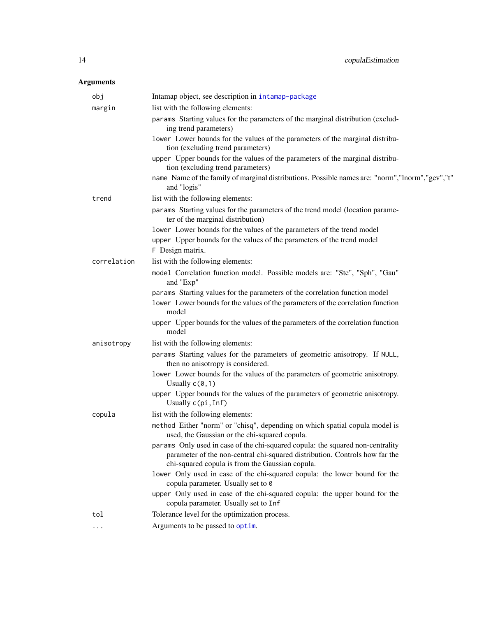# <span id="page-13-0"></span>Arguments

| Intamap object, see description in intamap-package                                                                                                                                                               |
|------------------------------------------------------------------------------------------------------------------------------------------------------------------------------------------------------------------|
| list with the following elements:                                                                                                                                                                                |
| params Starting values for the parameters of the marginal distribution (exclud-<br>ing trend parameters)                                                                                                         |
| lower Lower bounds for the values of the parameters of the marginal distribu-<br>tion (excluding trend parameters)                                                                                               |
| upper Upper bounds for the values of the parameters of the marginal distribu-<br>tion (excluding trend parameters)                                                                                               |
| name Name of the family of marginal distributions. Possible names are: "norm","lnorm","gev","t"<br>and "logis"                                                                                                   |
| list with the following elements:                                                                                                                                                                                |
| params Starting values for the parameters of the trend model (location parame-<br>ter of the marginal distribution)                                                                                              |
| lower Lower bounds for the values of the parameters of the trend model                                                                                                                                           |
| upper Upper bounds for the values of the parameters of the trend model<br>F Design matrix.                                                                                                                       |
| list with the following elements:                                                                                                                                                                                |
| model Correlation function model. Possible models are: "Ste", "Sph", "Gau"<br>and "Exp"                                                                                                                          |
| params Starting values for the parameters of the correlation function model                                                                                                                                      |
| lower Lower bounds for the values of the parameters of the correlation function<br>model                                                                                                                         |
| upper Upper bounds for the values of the parameters of the correlation function<br>model                                                                                                                         |
| list with the following elements:                                                                                                                                                                                |
| params Starting values for the parameters of geometric anisotropy. If NULL,<br>then no anisotropy is considered.                                                                                                 |
| lower Lower bounds for the values of the parameters of geometric anisotropy.<br>Usually $c(0,1)$                                                                                                                 |
| upper Upper bounds for the values of the parameters of geometric anisotropy.<br>Usually c(pi, Inf)                                                                                                               |
| list with the following elements:                                                                                                                                                                                |
| method Either "norm" or "chisq", depending on which spatial copula model is<br>used, the Gaussian or the chi-squared copula.                                                                                     |
| params Only used in case of the chi-squared copula: the squared non-centrality<br>parameter of the non-central chi-squared distribution. Controls how far the<br>chi-squared copula is from the Gaussian copula. |
| lower Only used in case of the chi-squared copula: the lower bound for the<br>copula parameter. Usually set to 0                                                                                                 |
| upper Only used in case of the chi-squared copula: the upper bound for the<br>copula parameter. Usually set to Inf                                                                                               |
| Tolerance level for the optimization process.                                                                                                                                                                    |
| Arguments to be passed to optim.                                                                                                                                                                                 |
|                                                                                                                                                                                                                  |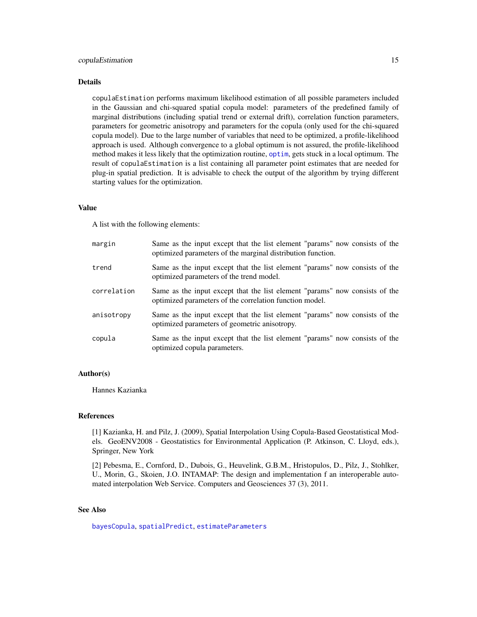#### <span id="page-14-0"></span>copulaEstimation 15

#### Details

copulaEstimation performs maximum likelihood estimation of all possible parameters included in the Gaussian and chi-squared spatial copula model: parameters of the predefined family of marginal distributions (including spatial trend or external drift), correlation function parameters, parameters for geometric anisotropy and parameters for the copula (only used for the chi-squared copula model). Due to the large number of variables that need to be optimized, a profile-likelihood approach is used. Although convergence to a global optimum is not assured, the profile-likelihood method makes it less likely that the optimization routine, [optim](#page-0-0), gets stuck in a local optimum. The result of copulaEstimation is a list containing all parameter point estimates that are needed for plug-in spatial prediction. It is advisable to check the output of the algorithm by trying different starting values for the optimization.

#### Value

A list with the following elements:

| margin      | Same as the input except that the list element "params" now consists of the<br>optimized parameters of the marginal distribution function. |
|-------------|--------------------------------------------------------------------------------------------------------------------------------------------|
| trend       | Same as the input except that the list element "params" now consists of the<br>optimized parameters of the trend model.                    |
| correlation | Same as the input except that the list element "params" now consists of the<br>optimized parameters of the correlation function model.     |
| anisotropy  | Same as the input except that the list element "params" now consists of the<br>optimized parameters of geometric anisotropy.               |
| copula      | Same as the input except that the list element "params" now consists of the<br>optimized copula parameters.                                |

# Author(s)

Hannes Kazianka

# References

[1] Kazianka, H. and Pilz, J. (2009), Spatial Interpolation Using Copula-Based Geostatistical Models. GeoENV2008 - Geostatistics for Environmental Application (P. Atkinson, C. Lloyd, eds.), Springer, New York

[2] Pebesma, E., Cornford, D., Dubois, G., Heuvelink, G.B.M., Hristopulos, D., Pilz, J., Stohlker, U., Morin, G., Skoien, J.O. INTAMAP: The design and implementation f an interoperable automated interpolation Web Service. Computers and Geosciences 37 (3), 2011.

### See Also

[bayesCopula](#page-5-1), [spatialPredict](#page-39-1), [estimateParameters](#page-20-1)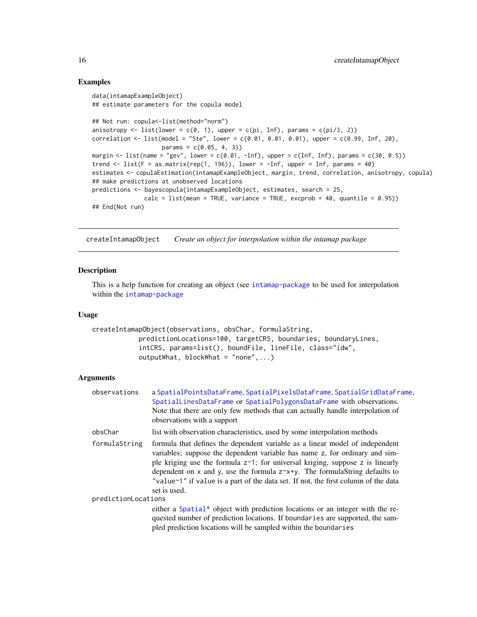# Examples

```
data(intamapExampleObject)
## estimate parameters for the copula model
## Not run: copula<-list(method="norm")
anisotropy \leq list(lower = c(0, 1), upper = c(pi, Inf), params = c(pi/3, 2))
correlation \le list(model = "Ste", lower = c(0.01, 0.01, 0.01), upper = c(0.99, Inf, 20),
                    params = c(0.05, 4, 3)margin \le list(name = "gev", lower = c(0.01, -Inf), upper = c(Inf, Inf), params = c(30, 0.5))
trend \le list(F = as.matrix(rep(1, 196)), lower = -Inf, upper = Inf, params = 40)
estimates <- copulaEstimation(intamapExampleObject, margin, trend, correlation, anisotropy, copula)
## make predictions at unobserved locations
predictions <- bayescopula(intamapExampleObject, estimates, search = 25,
               calc = list(mean = TRUE, variance = TRUE, except = 40, quantile = 0.95)## End(Not run)
```
<span id="page-15-1"></span>createIntamapObject *Create an object for interpolation within the intamap package*

# Description

This is a help function for creating an object (see [intamap-package](#page-1-1) to be used for interpolation within the [intamap-package](#page-1-1)

#### Usage

```
createIntamapObject(observations, obsChar, formulaString,
            predictionLocations=100, targetCRS, boundaries, boundaryLines,
            intCRS, params=list(), boundFile, lineFile, class="idw",
            outputWhat, blockWhat = "none", ...)
```
# Arguments

| observations        | a SpatialPointsDataFrame, SpatialPixelsDataFrame, SpatialGridDataFrame,<br>SpatialLinesDataFrame or SpatialPolygonsDataFrame with observations.<br>Note that there are only few methods that can actually handle interpolation of<br>observations with a support                                                                                                                                                                        |
|---------------------|-----------------------------------------------------------------------------------------------------------------------------------------------------------------------------------------------------------------------------------------------------------------------------------------------------------------------------------------------------------------------------------------------------------------------------------------|
| obsChar             | list with observation characteristics, used by some interpolation methods                                                                                                                                                                                                                                                                                                                                                               |
| formulaString       | formula that defines the dependent variable as a linear model of independent<br>variables; suppose the dependent variable has name z, for ordinary and sim-<br>ple kriging use the formula $z^2$ ; for universal kriging, suppose z is linearly<br>dependent on x and y, use the formula $z^2$ x+y. The formulaString defaults to<br>"value~1" if value is a part of the data set. If not, the first column of the data<br>set is used. |
| predictionLocations |                                                                                                                                                                                                                                                                                                                                                                                                                                         |
|                     | either a Spatial* object with prediction locations or an integer with the re-<br>quested number of prediction locations. If boundaries are supported, the sam-<br>pled prediction locations will be sampled within the boundaries                                                                                                                                                                                                       |

<span id="page-15-0"></span>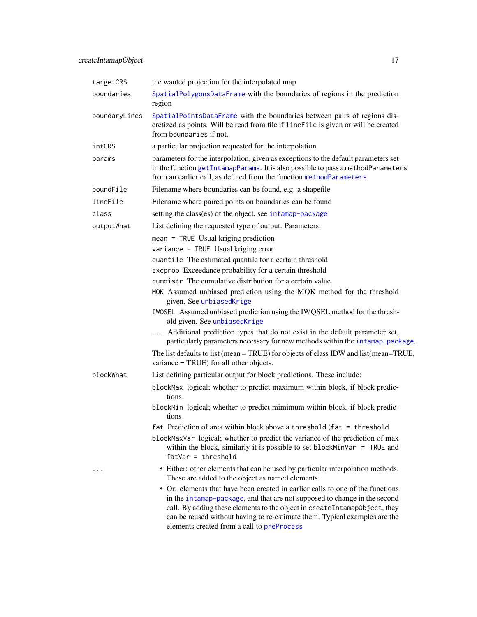<span id="page-16-0"></span>

| targetCRS     | the wanted projection for the interpolated map                                                                                                                                                                                                                                                                                                                       |
|---------------|----------------------------------------------------------------------------------------------------------------------------------------------------------------------------------------------------------------------------------------------------------------------------------------------------------------------------------------------------------------------|
| boundaries    | SpatialPolygonsDataFrame with the boundaries of regions in the prediction<br>region                                                                                                                                                                                                                                                                                  |
| boundaryLines | SpatialPointsDataFrame with the boundaries between pairs of regions dis-<br>cretized as points. Will be read from file if lineFile is given or will be created<br>from boundaries if not.                                                                                                                                                                            |
| intCRS        | a particular projection requested for the interpolation                                                                                                                                                                                                                                                                                                              |
| params        | parameters for the interpolation, given as exceptions to the default parameters set<br>in the function getIntamapParams. It is also possible to pass a methodParameters<br>from an earlier call, as defined from the function methodParameters.                                                                                                                      |
| boundFile     | Filename where boundaries can be found, e.g. a shapefile                                                                                                                                                                                                                                                                                                             |
| lineFile      | Filename where paired points on boundaries can be found                                                                                                                                                                                                                                                                                                              |
| class         | setting the class(es) of the object, see intamap-package                                                                                                                                                                                                                                                                                                             |
| outputWhat    | List defining the requested type of output. Parameters:                                                                                                                                                                                                                                                                                                              |
|               | mean = TRUE Usual kriging prediction                                                                                                                                                                                                                                                                                                                                 |
|               | variance = TRUE Usual kriging error                                                                                                                                                                                                                                                                                                                                  |
|               | quantile The estimated quantile for a certain threshold                                                                                                                                                                                                                                                                                                              |
|               | excprob Exceedance probability for a certain threshold                                                                                                                                                                                                                                                                                                               |
|               | cumdistr The cumulative distribution for a certain value                                                                                                                                                                                                                                                                                                             |
|               | MOK Assumed unbiased prediction using the MOK method for the threshold<br>given. See unbiasedKrige                                                                                                                                                                                                                                                                   |
|               | IWQSEL Assumed unbiased prediction using the IWQSEL method for the thresh-<br>old given. See unbiasedKrige                                                                                                                                                                                                                                                           |
|               | Additional prediction types that do not exist in the default parameter set,<br>particularly parameters necessary for new methods within the intamap-package.                                                                                                                                                                                                         |
|               | The list defaults to list (mean = TRUE) for objects of class IDW and list (mean=TRUE,<br>variance $=$ TRUE) for all other objects.                                                                                                                                                                                                                                   |
| blockWhat     | List defining particular output for block predictions. These include:                                                                                                                                                                                                                                                                                                |
|               | blockMax logical; whether to predict maximum within block, if block predic-<br>tions                                                                                                                                                                                                                                                                                 |
|               | blockMin logical; whether to predict mimimum within block, if block predic-<br>tions                                                                                                                                                                                                                                                                                 |
|               | fat Prediction of area within block above a threshold (fat = threshold                                                                                                                                                                                                                                                                                               |
|               | blockMaxVar logical; whether to predict the variance of the prediction of max<br>within the block, similarly it is possible to set block $MinVar = TRUE$ and<br>$fatVar = threshold$                                                                                                                                                                                 |
| .             | • Either: other elements that can be used by particular interpolation methods.<br>These are added to the object as named elements.                                                                                                                                                                                                                                   |
|               | • Or: elements that have been created in earlier calls to one of the functions<br>in the intamap-package, and that are not supposed to change in the second<br>call. By adding these elements to the object in createIntamapObject, they<br>can be reused without having to re-estimate them. Typical examples are the<br>elements created from a call to preProcess |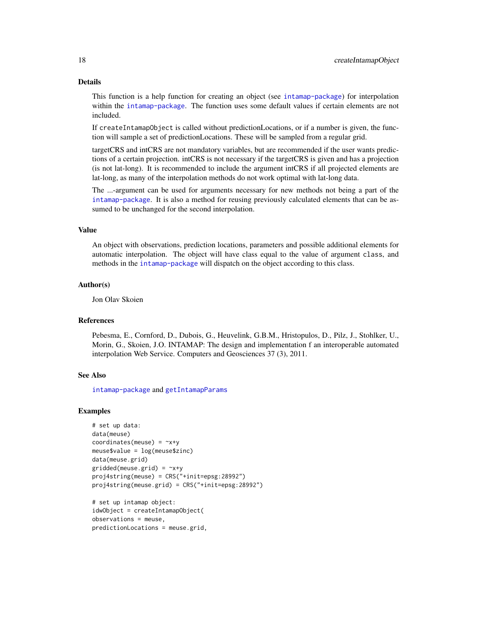#### <span id="page-17-0"></span>Details

This function is a help function for creating an object (see [intamap-package](#page-1-1)) for interpolation within the [intamap-package](#page-1-1). The function uses some default values if certain elements are not included.

If createIntamapObject is called without predictionLocations, or if a number is given, the function will sample a set of predictionLocations. These will be sampled from a regular grid.

targetCRS and intCRS are not mandatory variables, but are recommended if the user wants predictions of a certain projection. intCRS is not necessary if the targetCRS is given and has a projection (is not lat-long). It is recommended to include the argument intCRS if all projected elements are lat-long, as many of the interpolation methods do not work optimal with lat-long data.

The ...-argument can be used for arguments necessary for new methods not being a part of the [intamap-package](#page-1-1). It is also a method for reusing previously calculated elements that can be assumed to be unchanged for the second interpolation.

#### Value

An object with observations, prediction locations, parameters and possible additional elements for automatic interpolation. The object will have class equal to the value of argument class, and methods in the [intamap-package](#page-1-1) will dispatch on the object according to this class.

# Author(s)

Jon Olav Skoien

#### References

Pebesma, E., Cornford, D., Dubois, G., Heuvelink, G.B.M., Hristopulos, D., Pilz, J., Stohlker, U., Morin, G., Skoien, J.O. INTAMAP: The design and implementation f an interoperable automated interpolation Web Service. Computers and Geosciences 37 (3), 2011.

# See Also

[intamap-package](#page-1-1) and [getIntamapParams](#page-25-1)

# Examples

```
# set up data:
data(meuse)
coordinates(meuse) = -x+ymeuse$value = log(meuse$zinc)
data(meuse.grid)
gridded(meuse.grid) = -x+yproj4string(meuse) = CRS("+init=epsg:28992")
proj4string(meuse.grid) = CRS("+init=epsg:28992")
# set up intamap object:
```

```
idwObject = createIntamapObject(
observations = meuse,
predictionLocations = meuse.grid,
```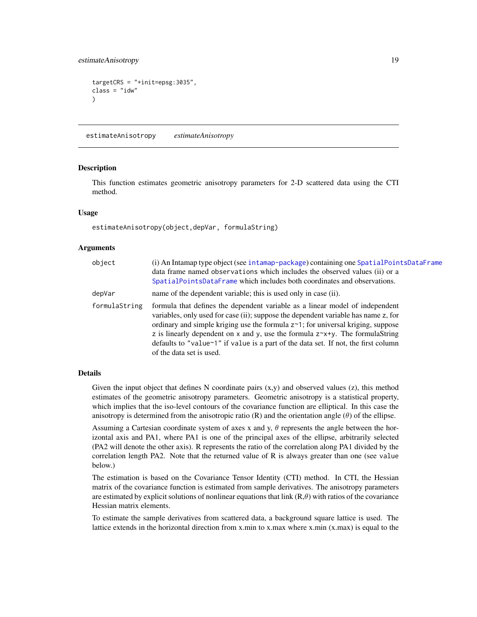# <span id="page-18-0"></span>estimateAnisotropy 19

```
targetCRS = "+init=epsg:3035",
class = "idw"
)
```
<span id="page-18-1"></span>estimateAnisotropy *estimateAnisotropy*

# **Description**

This function estimates geometric anisotropy parameters for 2-D scattered data using the CTI method.

# Usage

estimateAnisotropy(object,depVar, formulaString)

# Arguments

| object        | (i) An Intamap type object (see intamap-package) containing one SpatialPointsDataFrame<br>data frame named observations which includes the observed values (ii) or a<br>SpatialPointsDataFrame which includes both coordinates and observations.                                                                                                                                                                                                                    |
|---------------|---------------------------------------------------------------------------------------------------------------------------------------------------------------------------------------------------------------------------------------------------------------------------------------------------------------------------------------------------------------------------------------------------------------------------------------------------------------------|
| depVar        | name of the dependent variable; this is used only in case (ii).                                                                                                                                                                                                                                                                                                                                                                                                     |
| formulaString | formula that defines the dependent variable as a linear model of independent<br>variables, only used for case (ii); suppose the dependent variable has name z, for<br>ordinary and simple kriging use the formula $z^{-1}$ ; for universal kriging, suppose<br>z is linearly dependent on x and y, use the formula $z^x + y$ . The formula String<br>defaults to "value~1" if value is a part of the data set. If not, the first column<br>of the data set is used. |

# Details

Given the input object that defines N coordinate pairs  $(x,y)$  and observed values  $(z)$ , this method estimates of the geometric anisotropy parameters. Geometric anisotropy is a statistical property, which implies that the iso-level contours of the covariance function are elliptical. In this case the anisotropy is determined from the anisotropic ratio  $(R)$  and the orientation angle  $(\theta)$  of the ellipse.

Assuming a Cartesian coordinate system of axes x and y,  $\theta$  represents the angle between the horizontal axis and PA1, where PA1 is one of the principal axes of the ellipse, arbitrarily selected (PA2 will denote the other axis). R represents the ratio of the correlation along PA1 divided by the correlation length PA2. Note that the returned value of R is always greater than one (see value below.)

The estimation is based on the Covariance Tensor Identity (CTI) method. In CTI, the Hessian matrix of the covariance function is estimated from sample derivatives. The anisotropy parameters are estimated by explicit solutions of nonlinear equations that link  $(R, \theta)$  with ratios of the covariance Hessian matrix elements.

To estimate the sample derivatives from scattered data, a background square lattice is used. The lattice extends in the horizontal direction from x.min to x.max where x.min (x.max) is equal to the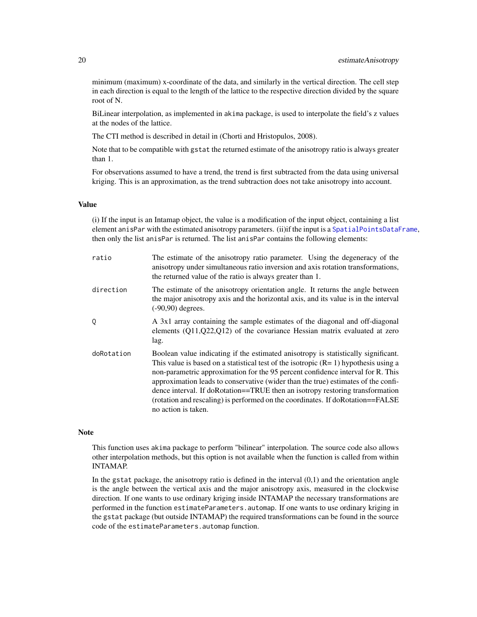<span id="page-19-0"></span>minimum (maximum) x-coordinate of the data, and similarly in the vertical direction. The cell step in each direction is equal to the length of the lattice to the respective direction divided by the square root of N.

BiLinear interpolation, as implemented in akima package, is used to interpolate the field's z values at the nodes of the lattice.

The CTI method is described in detail in (Chorti and Hristopulos, 2008).

Note that to be compatible with gstat the returned estimate of the anisotropy ratio is always greater than 1.

For observations assumed to have a trend, the trend is first subtracted from the data using universal kriging. This is an approximation, as the trend subtraction does not take anisotropy into account.

# Value

(i) If the input is an Intamap object, the value is a modification of the input object, containing a list element anisPar with the estimated anisotropy parameters. (ii)if the input is a [SpatialPointsDataFrame](#page-0-0), then only the list anisPar is returned. The list anisPar contains the following elements:

| ratio      | The estimate of the anisotropy ratio parameter. Using the degeneracy of the<br>anisotropy under simultaneous ratio inversion and axis rotation transformations,<br>the returned value of the ratio is always greater than 1.                                                                                                                                                                                                                                                                                                                  |
|------------|-----------------------------------------------------------------------------------------------------------------------------------------------------------------------------------------------------------------------------------------------------------------------------------------------------------------------------------------------------------------------------------------------------------------------------------------------------------------------------------------------------------------------------------------------|
| direction  | The estimate of the anisotropy orientation angle. It returns the angle between<br>the major anisotropy axis and the horizontal axis, and its value is in the interval<br>$(-90,90)$ degrees.                                                                                                                                                                                                                                                                                                                                                  |
| 0          | A 3x1 array containing the sample estimates of the diagonal and off-diagonal<br>elements $(Q11,Q22,Q12)$ of the covariance Hessian matrix evaluated at zero<br>lag.                                                                                                                                                                                                                                                                                                                                                                           |
| doRotation | Boolean value indicating if the estimated anisotropy is statistically significant.<br>This value is based on a statistical test of the isotropic $(R=1)$ hypothesis using a<br>non-parametric approximation for the 95 percent confidence interval for R. This<br>approximation leads to conservative (wider than the true) estimates of the confi-<br>dence interval. If doRotation==TRUE then an isotropy restoring transformation<br>(rotation and rescaling) is performed on the coordinates. If doRotation==FALSE<br>no action is taken. |

#### Note

This function uses akima package to perform "bilinear" interpolation. The source code also allows other interpolation methods, but this option is not available when the function is called from within INTAMAP.

In the gstat package, the anisotropy ratio is defined in the interval (0,1) and the orientation angle is the angle between the vertical axis and the major anisotropy axis, measured in the clockwise direction. If one wants to use ordinary kriging inside INTAMAP the necessary transformations are performed in the function estimateParameters.automap. If one wants to use ordinary kriging in the gstat package (but outside INTAMAP) the required transformations can be found in the source code of the estimateParameters.automap function.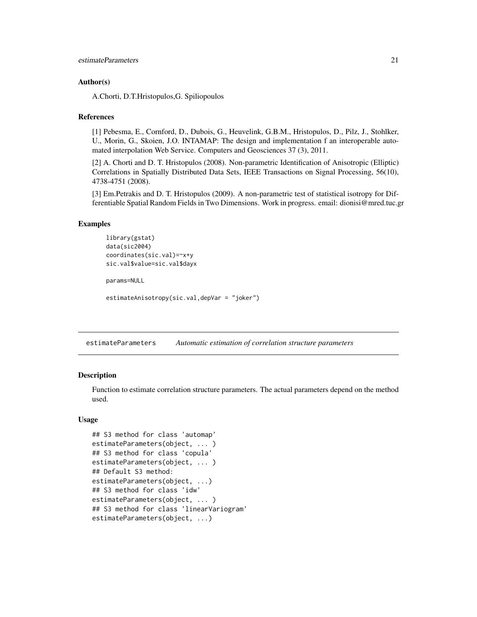```
estimateParameters 21
```
# Author(s)

A.Chorti, D.T.Hristopulos,G. Spiliopoulos

# References

[1] Pebesma, E., Cornford, D., Dubois, G., Heuvelink, G.B.M., Hristopulos, D., Pilz, J., Stohlker, U., Morin, G., Skoien, J.O. INTAMAP: The design and implementation f an interoperable automated interpolation Web Service. Computers and Geosciences 37 (3), 2011.

[2] A. Chorti and D. T. Hristopulos (2008). Non-parametric Identification of Anisotropic (Elliptic) Correlations in Spatially Distributed Data Sets, IEEE Transactions on Signal Processing, 56(10), 4738-4751 (2008).

[3] Em.Petrakis and D. T. Hristopulos (2009). A non-parametric test of statistical isotropy for Differentiable Spatial Random Fields in Two Dimensions. Work in progress. email: dionisi@mred.tuc.gr

# Examples

```
library(gstat)
data(sic2004)
coordinates(sic.val)=~x+y
sic.val$value=sic.val$dayx
params=NULL
estimateAnisotropy(sic.val,depVar = "joker")
```
<span id="page-20-1"></span>estimateParameters *Automatic estimation of correlation structure parameters*

# <span id="page-20-2"></span>Description

Function to estimate correlation structure parameters. The actual parameters depend on the method used.

# Usage

```
## S3 method for class 'automap'
estimateParameters(object, ... )
## S3 method for class 'copula'
estimateParameters(object, ... )
## Default S3 method:
estimateParameters(object, ...)
## S3 method for class 'idw'
estimateParameters(object, ... )
## S3 method for class 'linearVariogram'
estimateParameters(object, ...)
```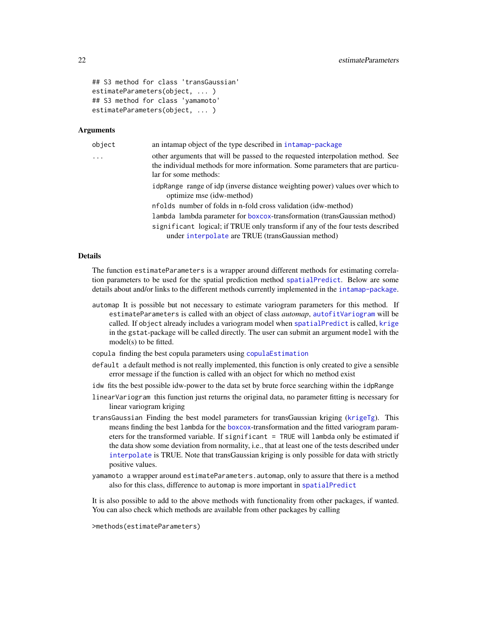```
## S3 method for class 'transGaussian'
estimateParameters(object, ... )
## S3 method for class 'yamamoto'
estimateParameters(object, ... )
```
# Arguments

| object | an intamap object of the type described in intamap-package                                                                                                                                |
|--------|-------------------------------------------------------------------------------------------------------------------------------------------------------------------------------------------|
| .      | other arguments that will be passed to the requested interpolation method. See<br>the individual methods for more information. Some parameters that are particu-<br>lar for some methods: |
|        | idpRange range of idp (inverse distance weighting power) values over which to<br>optimize mse (idw-method)                                                                                |
|        | nfolds number of folds in n-fold cross validation (idw-method)                                                                                                                            |
|        | lambda lambda parameter for boxcox-transformation (transGaussian method)                                                                                                                  |
|        | significant logical; if TRUE only transform if any of the four tests described<br>under interpolate are TRUE (transGaussian method)                                                       |
|        |                                                                                                                                                                                           |

#### **Details**

The function estimateParameters is a wrapper around different methods for estimating correlation parameters to be used for the spatial prediction method [spatialPredict](#page-39-1). Below are some details about and/or links to the different methods currently implemented in the [intamap-package](#page-1-1).

- automap It is possible but not necessary to estimate variogram parameters for this method. If estimateParameters is called with an object of class *automap*, [autofitVariogram](#page-0-0) will be called. If object already includes a variogram model when [spatialPredict](#page-39-1) is called, [krige](#page-0-0) in the gstat-package will be called directly. The user can submit an argument model with the model(s) to be fitted.
- copula finding the best copula parameters using [copulaEstimation](#page-12-1)
- default a default method is not really implemented, this function is only created to give a sensible error message if the function is called with an object for which no method exist
- idw fits the best possible idw-power to the data set by brute force searching within the idpRange
- linearVariogram this function just returns the original data, no parameter fitting is necessary for linear variogram kriging
- transGaussian Finding the best model parameters for transGaussian kriging ([krigeTg](#page-0-0)). This means finding the best lambda for the [boxcox](#page-0-0)-transformation and the fitted variogram parameters for the transformed variable. If significant = TRUE will lambda only be estimated if the data show some deviation from normality, i.e., that at least one of the tests described under [interpolate](#page-29-1) is TRUE. Note that transGaussian kriging is only possible for data with strictly positive values.
- yamamoto a wrapper around estimateParameters.automap, only to assure that there is a method also for this class, difference to automap is more important in [spatialPredict](#page-39-1)

It is also possible to add to the above methods with functionality from other packages, if wanted. You can also check which methods are available from other packages by calling

>methods(estimateParameters)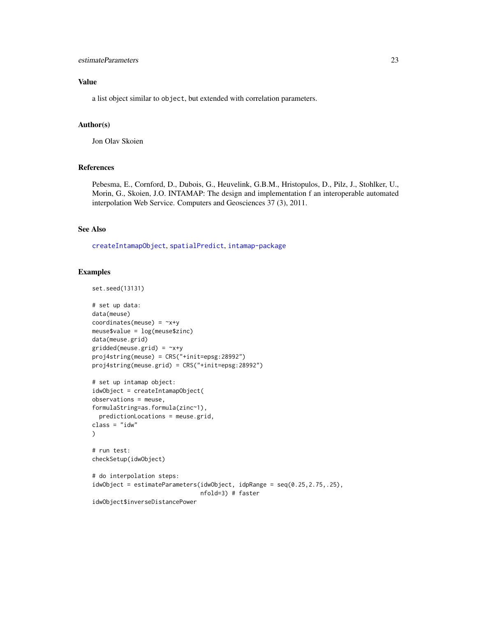# <span id="page-22-0"></span>estimateParameters 23

# Value

a list object similar to object, but extended with correlation parameters.

# Author(s)

Jon Olav Skoien

# References

Pebesma, E., Cornford, D., Dubois, G., Heuvelink, G.B.M., Hristopulos, D., Pilz, J., Stohlker, U., Morin, G., Skoien, J.O. INTAMAP: The design and implementation f an interoperable automated interpolation Web Service. Computers and Geosciences 37 (3), 2011.

# See Also

[createIntamapObject](#page-15-1), [spatialPredict](#page-39-1), [intamap-package](#page-1-1)

# Examples

```
set.seed(13131)
# set up data:
data(meuse)
coordinates(meuse) = -x+ymeuse$value = log(meuse$zinc)
data(meuse.grid)
gridded(mouse.grid) = \gamma x + yproj4string(meuse) = CRS("+init=epsg:28992")
proj4string(meuse.grid) = CRS("+init=epsg:28992")
# set up intamap object:
idwObject = createIntamapObject(
observations = meuse,
formulaString=as.formula(zinc~1),
  predictionLocations = meuse.grid,
class = "idw"
\mathcal{L}# run test:
checkSetup(idwObject)
# do interpolation steps:
idwObject = estimateParameters(idwObject, idpRange = seq(0.25,2.75,.25),
                                nfold=3) # faster
idwObject$inverseDistancePower
```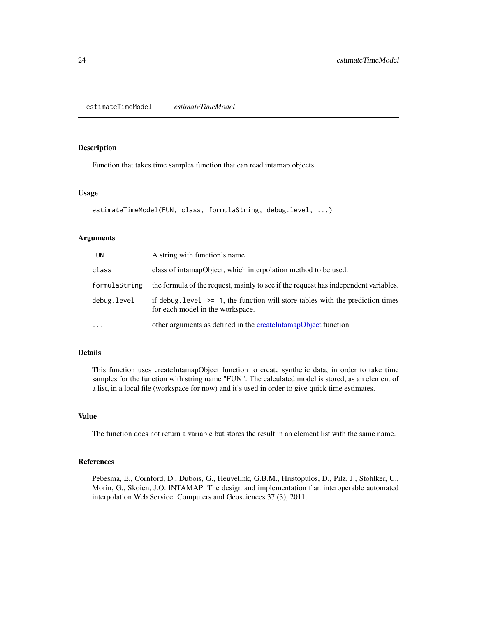#### <span id="page-23-0"></span>Description

Function that takes time samples function that can read intamap objects

#### Usage

```
estimateTimeModel(FUN, class, formulaString, debug.level, ...)
```
# Arguments

| <b>FUN</b>    | A string with function's name                                                                                           |
|---------------|-------------------------------------------------------------------------------------------------------------------------|
| class         | class of intamapObject, which interpolation method to be used.                                                          |
| formulaString | the formula of the request, mainly to see if the request has independent variables.                                     |
| debug.level   | if debug. level $\ge$ = 1, the function will store tables with the prediction times<br>for each model in the workspace. |
| $\ddots$      | other arguments as defined in the createIntamapObject function                                                          |

# Details

This function uses createIntamapObject function to create synthetic data, in order to take time samples for the function with string name "FUN". The calculated model is stored, as an element of a list, in a local file (workspace for now) and it's used in order to give quick time estimates.

# Value

The function does not return a variable but stores the result in an element list with the same name.

# References

Pebesma, E., Cornford, D., Dubois, G., Heuvelink, G.B.M., Hristopulos, D., Pilz, J., Stohlker, U., Morin, G., Skoien, J.O. INTAMAP: The design and implementation f an interoperable automated interpolation Web Service. Computers and Geosciences 37 (3), 2011.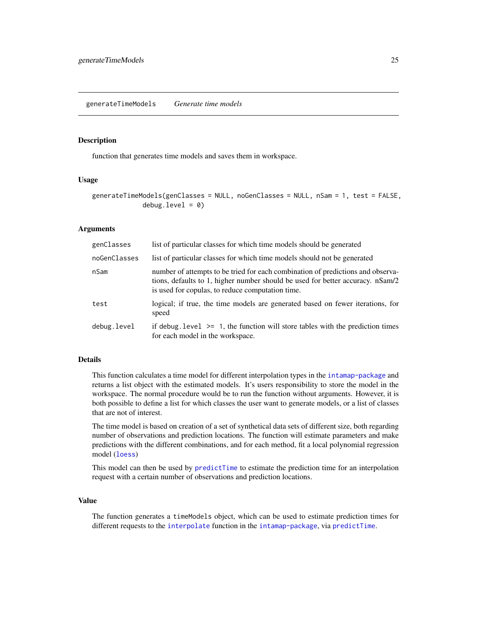<span id="page-24-1"></span><span id="page-24-0"></span>generateTimeModels *Generate time models*

# Description

function that generates time models and saves them in workspace.

# Usage

```
generateTimeModels(genClasses = NULL, noGenClasses = NULL, nSam = 1, test = FALSE,
             debug.level = 0)
```
#### Arguments

| genClasses   | list of particular classes for which time models should be generated                                                                                                                                                  |
|--------------|-----------------------------------------------------------------------------------------------------------------------------------------------------------------------------------------------------------------------|
| noGenClasses | list of particular classes for which time models should not be generated                                                                                                                                              |
| nSam         | number of attempts to be tried for each combination of predictions and observa-<br>tions, defaults to 1, higher number should be used for better accuracy. nSam/2<br>is used for copulas, to reduce computation time. |
| test         | logical; if true, the time models are generated based on fewer iterations, for<br>speed                                                                                                                               |
| debug.level  | if debug. level $\ge$ 1, the function will store tables with the prediction times<br>for each model in the workspace.                                                                                                 |

# Details

This function calculates a time model for different interpolation types in the [intamap-package](#page-1-1) and returns a list object with the estimated models. It's users responsibility to store the model in the workspace. The normal procedure would be to run the function without arguments. However, it is both possible to define a list for which classes the user want to generate models, or a list of classes that are not of interest.

The time model is based on creation of a set of synthetical data sets of different size, both regarding number of observations and prediction locations. The function will estimate parameters and make predictions with the different combinations, and for each method, fit a local polynomial regression model ([loess](#page-0-0))

This model can then be used by [predictTime](#page-36-1) to estimate the prediction time for an interpolation request with a certain number of observations and prediction locations.

# Value

The function generates a timeModels object, which can be used to estimate prediction times for different requests to the [interpolate](#page-29-1) function in the [intamap-package](#page-1-1), via [predictTime](#page-36-1).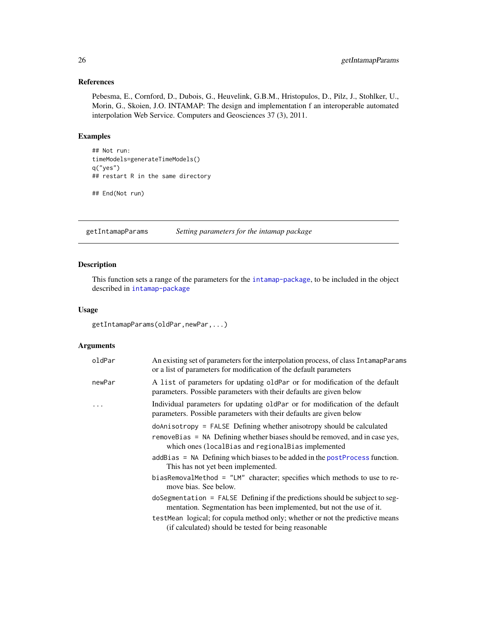# <span id="page-25-0"></span>References

Pebesma, E., Cornford, D., Dubois, G., Heuvelink, G.B.M., Hristopulos, D., Pilz, J., Stohlker, U., Morin, G., Skoien, J.O. INTAMAP: The design and implementation f an interoperable automated interpolation Web Service. Computers and Geosciences 37 (3), 2011.

# Examples

```
## Not run:
timeModels=generateTimeModels()
q("yes")
## restart R in the same directory
```
## End(Not run)

<span id="page-25-1"></span>getIntamapParams *Setting parameters for the intamap package*

# Description

This function sets a range of the parameters for the [intamap-package](#page-1-1), to be included in the object described in [intamap-package](#page-1-1)

# Usage

getIntamapParams(oldPar,newPar,...)

# Arguments

| oldPar   | An existing set of parameters for the interpolation process, of class IntamapParams<br>or a list of parameters for modification of the default parameters |
|----------|-----------------------------------------------------------------------------------------------------------------------------------------------------------|
| newPar   | A list of parameters for updating oldPar or for modification of the default<br>parameters. Possible parameters with their defaults are given below        |
| $\ddots$ | Individual parameters for updating oldPar or for modification of the default<br>parameters. Possible parameters with their defaults are given below       |
|          | doAnisotropy = FALSE Defining whether anisotropy should be calculated                                                                                     |
|          | removeBias = NA Defining whether biases should be removed, and in case yes,<br>which ones (local Bias and regional Bias implemented                       |
|          | $addBias = NA$ Defining which biases to be added in the postProcess function.<br>This has not yet been implemented.                                       |
|          | biasRemovalMethod = "LM" character; specifies which methods to use to re-<br>move bias. See below.                                                        |
|          | doSegmentation = FALSE Defining if the predictions should be subject to seg-<br>mentation. Segmentation has been implemented, but not the use of it.      |
|          | testMean logical; for copula method only; whether or not the predictive means<br>(if calculated) should be tested for being reasonable                    |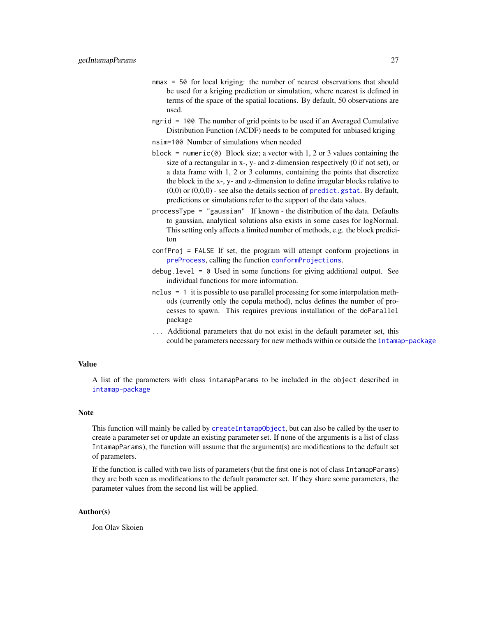- <span id="page-26-0"></span>nmax = 50 for local kriging: the number of nearest observations that should be used for a kriging prediction or simulation, where nearest is defined in terms of the space of the spatial locations. By default, 50 observations are used.
- ngrid = 100 The number of grid points to be used if an Averaged Cumulative Distribution Function (ACDF) needs to be computed for unbiased kriging
- nsim=100 Number of simulations when needed
- block = numeric( $\theta$ ) Block size; a vector with 1, 2 or 3 values containing the size of a rectangular in x-, y- and z-dimension respectively (0 if not set), or a data frame with 1, 2 or 3 columns, containing the points that discretize the block in the x-, y- and z-dimension to define irregular blocks relative to  $(0,0)$  or  $(0,0,0)$  - see also the details section of [predict.gstat](#page-0-0). By default, predictions or simulations refer to the support of the data values.
- processType = "gaussian" If known the distribution of the data. Defaults to gaussian, analytical solutions also exists in some cases for logNormal. This setting only affects a limited number of methods, e.g. the block prediciton
- confProj = FALSE If set, the program will attempt conform projections in [preProcess](#page-37-1), calling the function [conformProjections](#page-11-1).
- debug.level =  $\theta$  Used in some functions for giving additional output. See individual functions for more information.
- nclus = 1 it is possible to use parallel processing for some interpolation methods (currently only the copula method), nclus defines the number of processes to spawn. This requires previous installation of the doParallel package
- ... Additional parameters that do not exist in the default parameter set, this could be parameters necessary for new methods within or outside the [intamap-package](#page-1-1)

# Value

A list of the parameters with class intamapParams to be included in the object described in [intamap-package](#page-1-1)

# Note

This function will mainly be called by [createIntamapObject](#page-15-1), but can also be called by the user to create a parameter set or update an existing parameter set. If none of the arguments is a list of class IntamapParams), the function will assume that the argument(s) are modifications to the default set of parameters.

If the function is called with two lists of parameters (but the first one is not of class IntamapParams) they are both seen as modifications to the default parameter set. If they share some parameters, the parameter values from the second list will be applied.

#### Author(s)

Jon Olav Skoien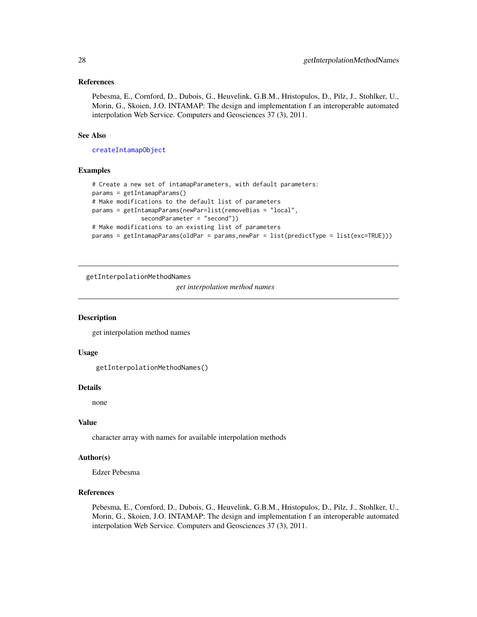# <span id="page-27-0"></span>References

Pebesma, E., Cornford, D., Dubois, G., Heuvelink, G.B.M., Hristopulos, D., Pilz, J., Stohlker, U., Morin, G., Skoien, J.O. INTAMAP: The design and implementation f an interoperable automated interpolation Web Service. Computers and Geosciences 37 (3), 2011.

# See Also

[createIntamapObject](#page-15-1)

# Examples

```
# Create a new set of intamapParameters, with default parameters:
params = getIntamapParams()
# Make modifications to the default list of parameters
params = getIntamapParams(newPar=list(removeBias = "local",
              secondParameter = "second"))
# Make modifications to an existing list of parameters
params = getIntamapParams(oldPar = params,newPar = list(predictType = list(exc=TRUE)))
```
getInterpolationMethodNames

*get interpolation method names*

# Description

get interpolation method names

#### Usage

```
getInterpolationMethodNames()
```
#### Details

none

# Value

character array with names for available interpolation methods

# Author(s)

Edzer Pebesma

# References

Pebesma, E., Cornford, D., Dubois, G., Heuvelink, G.B.M., Hristopulos, D., Pilz, J., Stohlker, U., Morin, G., Skoien, J.O. INTAMAP: The design and implementation f an interoperable automated interpolation Web Service. Computers and Geosciences 37 (3), 2011.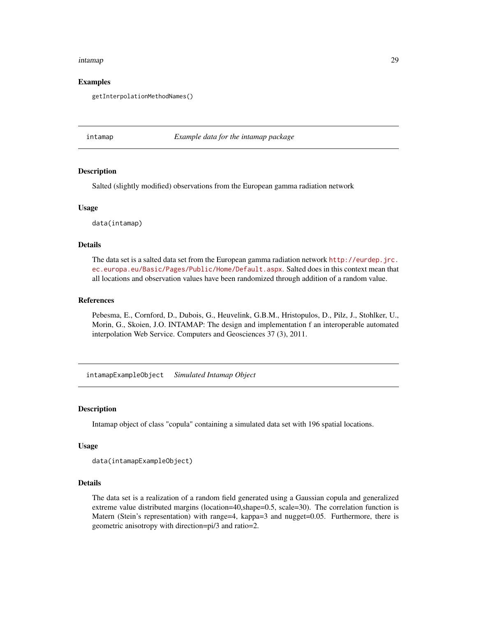#### <span id="page-28-0"></span>intamap 29

# Examples

getInterpolationMethodNames()

intamap *Example data for the intamap package*

# **Description**

Salted (slightly modified) observations from the European gamma radiation network

#### Usage

data(intamap)

# Details

The data set is a salted data set from the European gamma radiation network [http://eurdep.jrc.](http://eurdep.jrc.ec.europa.eu/Basic/Pages/Public/Home/Default.aspx) [ec.europa.eu/Basic/Pages/Public/Home/Default.aspx](http://eurdep.jrc.ec.europa.eu/Basic/Pages/Public/Home/Default.aspx). Salted does in this context mean that all locations and observation values have been randomized through addition of a random value.

# References

Pebesma, E., Cornford, D., Dubois, G., Heuvelink, G.B.M., Hristopulos, D., Pilz, J., Stohlker, U., Morin, G., Skoien, J.O. INTAMAP: The design and implementation f an interoperable automated interpolation Web Service. Computers and Geosciences 37 (3), 2011.

intamapExampleObject *Simulated Intamap Object*

#### Description

Intamap object of class "copula" containing a simulated data set with 196 spatial locations.

#### Usage

```
data(intamapExampleObject)
```
#### Details

The data set is a realization of a random field generated using a Gaussian copula and generalized extreme value distributed margins (location=40,shape=0.5, scale=30). The correlation function is Matern (Stein's representation) with range=4, kappa=3 and nugget=0.05. Furthermore, there is geometric anisotropy with direction=pi/3 and ratio=2.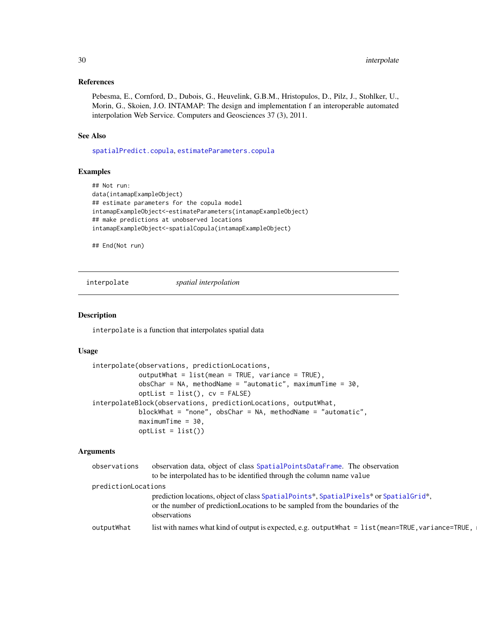# <span id="page-29-0"></span>References

Pebesma, E., Cornford, D., Dubois, G., Heuvelink, G.B.M., Hristopulos, D., Pilz, J., Stohlker, U., Morin, G., Skoien, J.O. INTAMAP: The design and implementation f an interoperable automated interpolation Web Service. Computers and Geosciences 37 (3), 2011.

# See Also

[spatialPredict.copula](#page-39-2), [estimateParameters.copula](#page-20-2)

# Examples

```
## Not run:
data(intamapExampleObject)
## estimate parameters for the copula model
intamapExampleObject<-estimateParameters(intamapExampleObject)
## make predictions at unobserved locations
intamapExampleObject<-spatialCopula(intamapExampleObject)
```
## End(Not run)

<span id="page-29-1"></span>interpolate *spatial interpolation*

# Description

interpolate is a function that interpolates spatial data

# Usage

```
interpolate(observations, predictionLocations,
           outputWhat = list(mean = TRUE, variance = TRUE),obsChar = NA, methodName = "automatic", maximumTime = 30,
           optList = list(), cv = FALSE)
interpolateBlock(observations, predictionLocations, outputWhat,
           blockWhat = "none", obsChar = NA, methodName = "automatic",
           maximumTime = 30,
           optList = list()
```
# Arguments

| observations        | observation data, object of class SpatialPointsDataFrame. The observation<br>to be interpolated has to be identified through the column name value                                      |
|---------------------|-----------------------------------------------------------------------------------------------------------------------------------------------------------------------------------------|
| predictionLocations |                                                                                                                                                                                         |
|                     |                                                                                                                                                                                         |
|                     | prediction locations, object of class SpatialPoints*, SpatialPixels* or SpatialGrid*,<br>or the number of prediction Locations to be sampled from the boundaries of the<br>observations |
| outputWhat          | list with names what kind of output is expected, e.g. output What $=$ list (mean=TRUE, variance=TRUE,                                                                                   |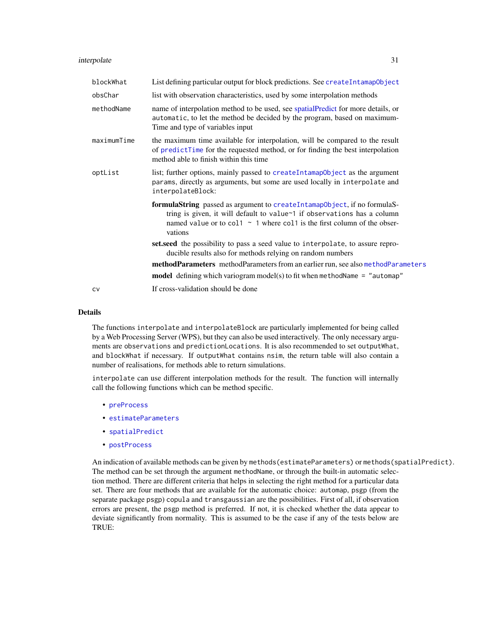<span id="page-30-0"></span>

| blockWhat   | List defining particular output for block predictions. See createIntamapObject                                                                                                                                                                 |
|-------------|------------------------------------------------------------------------------------------------------------------------------------------------------------------------------------------------------------------------------------------------|
| obsChar     | list with observation characteristics, used by some interpolation methods                                                                                                                                                                      |
| methodName  | name of interpolation method to be used, see spatial Predict for more details, or<br>automatic, to let the method be decided by the program, based on maximum-<br>Time and type of variables input                                             |
| maximumTime | the maximum time available for interpolation, will be compared to the result<br>of predictTime for the requested method, or for finding the best interpolation<br>method able to finish within this time                                       |
| optList     | list; further options, mainly passed to createIntamapObject as the argument<br>params, directly as arguments, but some are used locally in interpolate and<br>interpolateBlock:                                                                |
|             | formulaString passed as argument to createIntamapObject, if no formulaS-<br>tring is given, it will default to value~1 if observations has a column<br>named value or to col1 $\sim$ 1 where col1 is the first column of the obser-<br>vations |
|             | set.seed the possibility to pass a seed value to interpolate, to assure repro-<br>ducible results also for methods relying on random numbers                                                                                                   |
|             | methodParameters methodParameters from an earlier run, see also methodParameters                                                                                                                                                               |
|             | <b>model</b> defining which variogram model(s) to fit when methodName = "automap"                                                                                                                                                              |
| CV          | If cross-validation should be done                                                                                                                                                                                                             |

# Details

The functions interpolate and interpolateBlock are particularly implemented for being called by a Web Processing Server (WPS), but they can also be used interactively. The only necessary arguments are observations and predictionLocations. It is also recommended to set outputWhat, and blockWhat if necessary. If outputWhat contains nsim, the return table will also contain a number of realisations, for methods able to return simulations.

interpolate can use different interpolation methods for the result. The function will internally call the following functions which can be method specific.

- [preProcess](#page-37-1)
- [estimateParameters](#page-20-1)
- [spatialPredict](#page-39-1)
- [postProcess](#page-35-1)

An indication of available methods can be given by methods(estimateParameters) or methods(spatialPredict). The method can be set through the argument methodName, or through the built-in automatic selection method. There are different criteria that helps in selecting the right method for a particular data set. There are four methods that are available for the automatic choice: automap, psgp (from the separate package psgp) copula and transgaussian are the possibilities. First of all, if observation errors are present, the psgp method is preferred. If not, it is checked whether the data appear to deviate significantly from normality. This is assumed to be the case if any of the tests below are TRUE: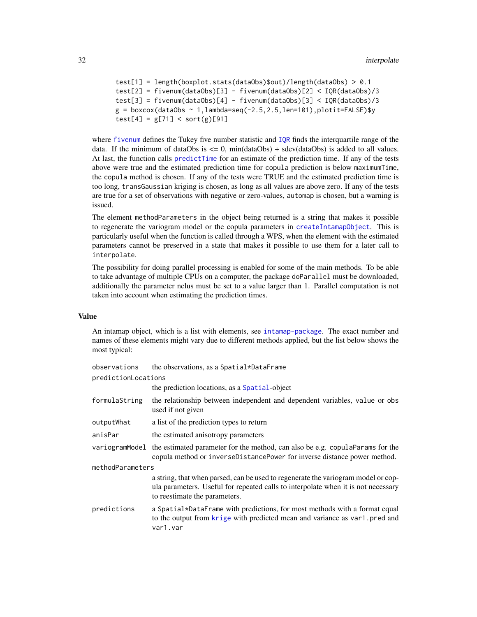```
test[1] = length(boxplot.stats(dataObs)$out)/length(dataObs) > 0.1
test[2] = fivenum(dataObs)[3] - fivenum(dataObs)[2] < IQR(dataObs)/3
test[3] = fivenum(dataObs)[4] - fivenum(dataObs)[3] < IQR(dataObs)/3
g = boxcox(dataObs ~ 1, lambda=seq(-2.5, 2.5, len=101), plotit=FALSE)$y
test[4] = g[71] < sort(g)[91]
```
where [fivenum](#page-0-0) defines the Tukey five number statistic and [IQR](#page-0-0) finds the interquartile range of the data. If the minimum of dataObs is  $\leq 0$ , min(dataObs) + sdev(dataObs) is added to all values. At last, the function calls [predictTime](#page-36-1) for an estimate of the prediction time. If any of the tests above were true and the estimated prediction time for copula prediction is below maximumTime, the copula method is chosen. If any of the tests were TRUE and the estimated prediction time is too long, transGaussian kriging is chosen, as long as all values are above zero. If any of the tests are true for a set of observations with negative or zero-values, automap is chosen, but a warning is issued.

The element methodParameters in the object being returned is a string that makes it possible to regenerate the variogram model or the copula parameters in [createIntamapObject](#page-15-1). This is particularly useful when the function is called through a WPS, when the element with the estimated parameters cannot be preserved in a state that makes it possible to use them for a later call to interpolate.

The possibility for doing parallel processing is enabled for some of the main methods. To be able to take advantage of multiple CPUs on a computer, the package doParallel must be downloaded, additionally the parameter nclus must be set to a value larger than 1. Parallel computation is not taken into account when estimating the prediction times.

#### Value

An intamap object, which is a list with elements, see [intamap-package](#page-1-1). The exact number and names of these elements might vary due to different methods applied, but the list below shows the most typical:

| observations        | the observations, as a Spatial*DataFrame                                                                                                                                                                |
|---------------------|---------------------------------------------------------------------------------------------------------------------------------------------------------------------------------------------------------|
| predictionLocations |                                                                                                                                                                                                         |
|                     | the prediction locations, as a Spatial-object                                                                                                                                                           |
| formulaString       | the relationship between independent and dependent variables, value or obs<br>used if not given                                                                                                         |
| outputWhat          | a list of the prediction types to return                                                                                                                                                                |
| anisPar             | the estimated anisotropy parameters                                                                                                                                                                     |
|                     | variogramModel the estimated parameter for the method, can also be e.g. copulaParams for the<br>copula method or inverseDistancePower for inverse distance power method.                                |
| methodParameters    |                                                                                                                                                                                                         |
|                     | a string, that when parsed, can be used to regenerate the variogram model or cop-<br>ula parameters. Useful for repeated calls to interpolate when it is not necessary<br>to reestimate the parameters. |
| predictions         | a Spatial*DataFrame with predictions, for most methods with a format equal<br>to the output from krige with predicted mean and variance as var1. pred and<br>var1.var                                   |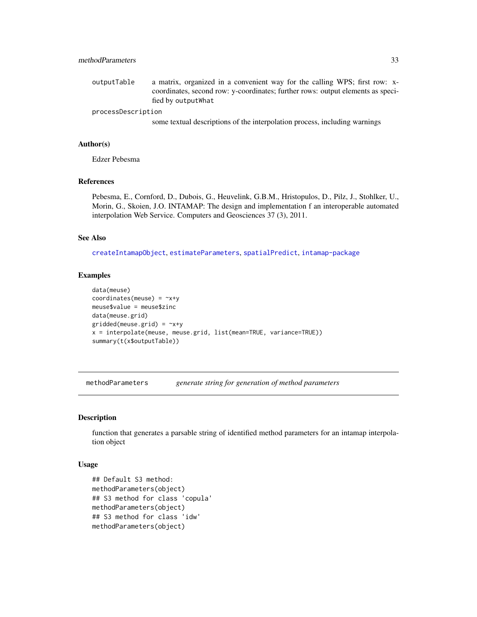# <span id="page-32-0"></span>methodParameters 33

outputTable a matrix, organized in a convenient way for the calling WPS; first row: xcoordinates, second row: y-coordinates; further rows: output elements as specified by outputWhat

#### processDescription

some textual descriptions of the interpolation process, including warnings

# Author(s)

Edzer Pebesma

# References

Pebesma, E., Cornford, D., Dubois, G., Heuvelink, G.B.M., Hristopulos, D., Pilz, J., Stohlker, U., Morin, G., Skoien, J.O. INTAMAP: The design and implementation f an interoperable automated interpolation Web Service. Computers and Geosciences 37 (3), 2011.

# See Also

[createIntamapObject](#page-15-1), [estimateParameters](#page-20-1), [spatialPredict](#page-39-1), [intamap-package](#page-1-1)

# Examples

```
data(meuse)
coordinates(meuse) = -x+ymeuse$value = meuse$zinc
data(meuse.grid)
gridded(meuse.grid) = -x+yx = interpolate(meuse, meuse.grid, list(mean=TRUE, variance=TRUE))
summary(t(x$outputTable))
```
<span id="page-32-1"></span>methodParameters *generate string for generation of method parameters*

# Description

function that generates a parsable string of identified method parameters for an intamap interpolation object

#### Usage

```
## Default S3 method:
methodParameters(object)
## S3 method for class 'copula'
methodParameters(object)
## S3 method for class 'idw'
methodParameters(object)
```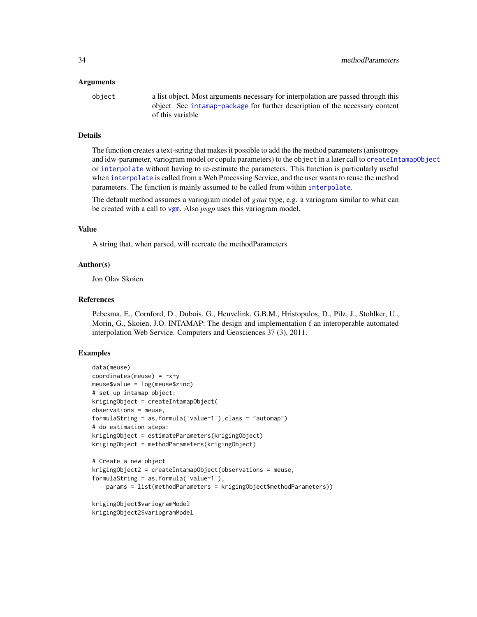#### <span id="page-33-0"></span>Arguments

object a list object. Most arguments necessary for interpolation are passed through this object. See [intamap-package](#page-1-1) for further description of the necessary content of this variable

# Details

The function creates a text-string that makes it possible to add the the method parameters (anisotropy and idw-parameter, variogram model or copula parameters) to the object in a later call to [createIntamapObject](#page-15-1) or [interpolate](#page-29-1) without having to re-estimate the parameters. This function is particularly useful when [interpolate](#page-29-1) is called from a Web Processing Service, and the user wants to reuse the method parameters. The function is mainly assumed to be called from within [interpolate](#page-29-1).

The default method assumes a variogram model of *gstat* type, e.g. a variogram similar to what can be created with a call to [vgm](#page-0-0). Also *psgp* uses this variogram model.

#### Value

A string that, when parsed, will recreate the methodParameters

# Author(s)

Jon Olav Skoien

# References

Pebesma, E., Cornford, D., Dubois, G., Heuvelink, G.B.M., Hristopulos, D., Pilz, J., Stohlker, U., Morin, G., Skoien, J.O. INTAMAP: The design and implementation f an interoperable automated interpolation Web Service. Computers and Geosciences 37 (3), 2011.

# Examples

```
data(meuse)
coordinates(meuse) = -x+ymeuse$value = log(meuse$zinc)
# set up intamap object:
krigingObject = createIntamapObject(
observations = meuse,
formulaString = as.formula('value~1'),class = "automap")
# do estimation steps:
krigingObject = estimateParameters(krigingObject)
krigingObject = methodParameters(krigingObject)
# Create a new object
krigingObject2 = createIntamapObject(observations = meuse,
formulaString = as.formula('value~1'),
    params = list(methodParameters = krigingObject$methodParameters))
krigingObject$variogramModel
```
krigingObject2\$variogramModel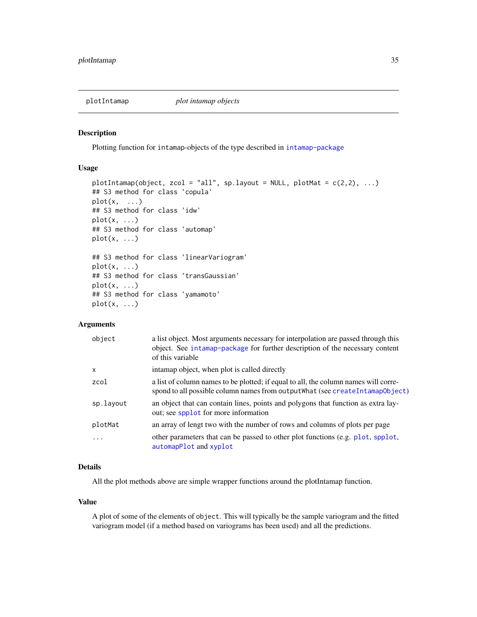<span id="page-34-0"></span>

#### Description

Plotting function for intamap-objects of the type described in [intamap-package](#page-1-1)

# Usage

```
plotIntamap(object, zcol = "all", sp.layout = NULL, plotMat = c(2,2), ...)
## S3 method for class 'copula'
plot(x, \ldots)## S3 method for class 'idw'
plot(x, \ldots)## S3 method for class 'automap'
plot(x, \ldots)## S3 method for class 'linearVariogram'
plot(x, \ldots)## S3 method for class 'transGaussian'
plot(x, \ldots)## S3 method for class 'yamamoto'
plot(x, \ldots)
```
# Arguments

| object    | a list object. Most arguments necessary for interpolation are passed through this<br>object. See intamap-package for further description of the necessary content<br>of this variable |
|-----------|---------------------------------------------------------------------------------------------------------------------------------------------------------------------------------------|
| $\times$  | intamap object, when plot is called directly                                                                                                                                          |
| zcol      | a list of column names to be plotted; if equal to all, the column names will corre-<br>spond to all possible column names from output What (see createIntamapObject)                  |
| sp.layout | an object that can contain lines, points and polygons that function as extra lay-<br>out; see spplot for more information                                                             |
| plotMat   | an array of lengt two with the number of rows and columns of plots per page                                                                                                           |
| $\cdot$   | other parameters that can be passed to other plot functions (e.g. plot, spplot,<br>automapPlot and xyplot                                                                             |

# Details

All the plot methods above are simple wrapper functions around the plotIntamap function.

# Value

A plot of some of the elements of object. This will typically be the sample variogram and the fitted variogram model (if a method based on variograms has been used) and all the predictions.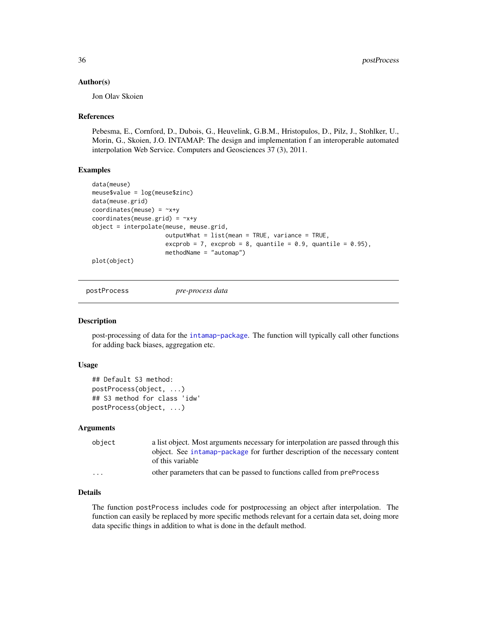#### <span id="page-35-0"></span>Author(s)

Jon Olav Skoien

#### References

Pebesma, E., Cornford, D., Dubois, G., Heuvelink, G.B.M., Hristopulos, D., Pilz, J., Stohlker, U., Morin, G., Skoien, J.O. INTAMAP: The design and implementation f an interoperable automated interpolation Web Service. Computers and Geosciences 37 (3), 2011.

# Examples

```
data(meuse)
meuse$value = log(meuse$zinc)
data(meuse.grid)
coordinates(meuse) = -x+ycoordinates(meuse.grid) = -x+yobject = interpolate(meuse, meuse.grid,
                     outputWhat = list(mean = TRUE, variance = TRUE,
                     excprob = 7, excprob = 8, quantile = 0.9, quantile = 0.95),
                     methodName = "automap")
plot(object)
```
<span id="page-35-1"></span>postProcess *pre-process data*

# Description

post-processing of data for the [intamap-package](#page-1-1). The function will typically call other functions for adding back biases, aggregation etc.

#### Usage

```
## Default S3 method:
postProcess(object, ...)
## S3 method for class 'idw'
postProcess(object, ...)
```
#### Arguments

| object   | a list object. Most arguments necessary for interpolation are passed through this                |
|----------|--------------------------------------------------------------------------------------------------|
|          | object. See intamap-package for further description of the necessary content<br>of this variable |
| $\cdots$ | other parameters that can be passed to functions called from preProcess                          |

# Details

The function postProcess includes code for postprocessing an object after interpolation. The function can easily be replaced by more specific methods relevant for a certain data set, doing more data specific things in addition to what is done in the default method.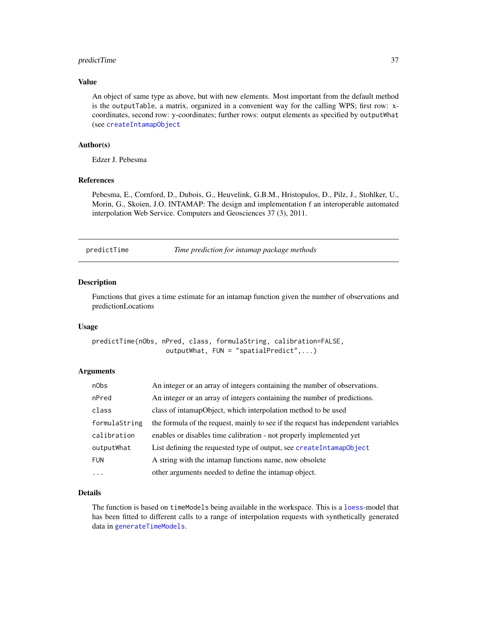# <span id="page-36-0"></span>predictTime 37

# Value

An object of same type as above, but with new elements. Most important from the default method is the outputTable, a matrix, organized in a convenient way for the calling WPS; first row: xcoordinates, second row: y-coordinates; further rows: output elements as specified by outputWhat (see [createIntamapObject](#page-15-1)

# Author(s)

Edzer J. Pebesma

# References

Pebesma, E., Cornford, D., Dubois, G., Heuvelink, G.B.M., Hristopulos, D., Pilz, J., Stohlker, U., Morin, G., Skoien, J.O. INTAMAP: The design and implementation f an interoperable automated interpolation Web Service. Computers and Geosciences 37 (3), 2011.

<span id="page-36-1"></span>predictTime *Time prediction for intamap package methods*

# Description

Functions that gives a time estimate for an intamap function given the number of observations and predictionLocations

# Usage

```
predictTime(nObs, nPred, class, formulaString, calibration=FALSE,
                   outputWhat, FUN = "spatialPredict",...)
```
# Arguments

| n0bs          | An integer or an array of integers containing the number of observations.          |
|---------------|------------------------------------------------------------------------------------|
| nPred         | An integer or an array of integers containing the number of predictions.           |
| class         | class of intamapObject, which interpolation method to be used                      |
| formulaString | the formula of the request, mainly to see if the request has independent variables |
| calibration   | enables or disables time calibration - not properly implemented yet                |
| outputWhat    | List defining the requested type of output, see createIntamap0bject                |
| <b>FUN</b>    | A string with the intamap functions name, now obsolete                             |
| $\ddotsc$     | other arguments needed to define the intamap object.                               |

# Details

The function is based on timeModels being available in the workspace. This is a [loess](#page-0-0)-model that has been fitted to different calls to a range of interpolation requests with synthetically generated data in [generateTimeModels](#page-24-1).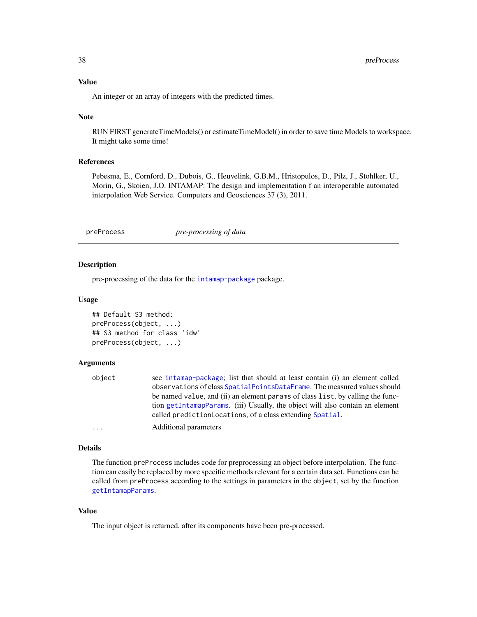<span id="page-37-0"></span>An integer or an array of integers with the predicted times.

#### Note

RUN FIRST generateTimeModels() or estimateTimeModel() in order to save time Models to workspace. It might take some time!

#### References

Pebesma, E., Cornford, D., Dubois, G., Heuvelink, G.B.M., Hristopulos, D., Pilz, J., Stohlker, U., Morin, G., Skoien, J.O. INTAMAP: The design and implementation f an interoperable automated interpolation Web Service. Computers and Geosciences 37 (3), 2011.

<span id="page-37-1"></span>preProcess *pre-processing of data*

## Description

pre-processing of the data for the [intamap-package](#page-1-1) package.

#### Usage

```
## Default S3 method:
preProcess(object, ...)
## S3 method for class 'idw'
preProcess(object, ...)
```
# Arguments

| object  | see intamap-package; list that should at least contain (i) an element called   |
|---------|--------------------------------------------------------------------------------|
|         | observations of class SpatialPointsDataFrame. The measured values should       |
|         | be named value, and (ii) an element params of class list, by calling the func- |
|         | tion getIntamapParams. (iii) Usually, the object will also contain an element  |
|         | called prediction Locations, of a class extending Spatial.                     |
| $\cdot$ | Additional parameters                                                          |

#### Details

The function preProcess includes code for preprocessing an object before interpolation. The function can easily be replaced by more specific methods relevant for a certain data set. Functions can be called from preProcess according to the settings in parameters in the object, set by the function [getIntamapParams](#page-25-1).

# Value

The input object is returned, after its components have been pre-processed.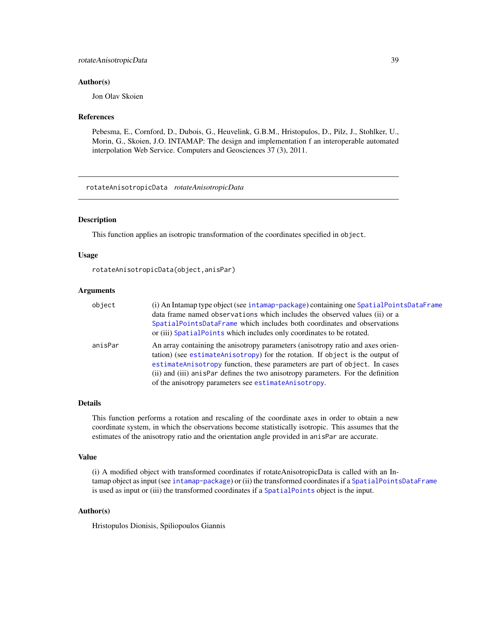# <span id="page-38-0"></span>Author(s)

Jon Olav Skoien

### References

Pebesma, E., Cornford, D., Dubois, G., Heuvelink, G.B.M., Hristopulos, D., Pilz, J., Stohlker, U., Morin, G., Skoien, J.O. INTAMAP: The design and implementation f an interoperable automated interpolation Web Service. Computers and Geosciences 37 (3), 2011.

rotateAnisotropicData *rotateAnisotropicData*

#### Description

This function applies an isotropic transformation of the coordinates specified in object.

#### Usage

rotateAnisotropicData(object,anisPar)

#### Arguments

| object  | (i) An Intamap type object (see intamap-package) containing one SpatialPointsDataFrame<br>data frame named observations which includes the observed values (ii) or a<br>SpatialPointsDataFrame which includes both coordinates and observations<br>or (iii) SpatialPoints which includes only coordinates to be rotated.                                                                   |
|---------|--------------------------------------------------------------------------------------------------------------------------------------------------------------------------------------------------------------------------------------------------------------------------------------------------------------------------------------------------------------------------------------------|
| anisPar | An array containing the anisotropy parameters (anisotropy ratio and axes orien-<br>tation) (see estimateAnisotropy) for the rotation. If object is the output of<br>estimateAnisotropy function, these parameters are part of object. In cases<br>(ii) and (iii) anispar defines the two anisotropy parameters. For the definition<br>of the anisotropy parameters see estimateAnisotropy. |

#### Details

This function performs a rotation and rescaling of the coordinate axes in order to obtain a new coordinate system, in which the observations become statistically isotropic. This assumes that the estimates of the anisotropy ratio and the orientation angle provided in anisPar are accurate.

#### Value

(i) A modified object with transformed coordinates if rotateAnisotropicData is called with an Intamap object as input (see [intamap-package](#page-1-1)) or (ii) the transformed coordinates if a [SpatialPointsDataFrame](#page-0-0) is used as input or (iii) the transformed coordinates if a [SpatialPoints](#page-0-0) object is the input.

#### Author(s)

Hristopulos Dionisis, Spiliopoulos Giannis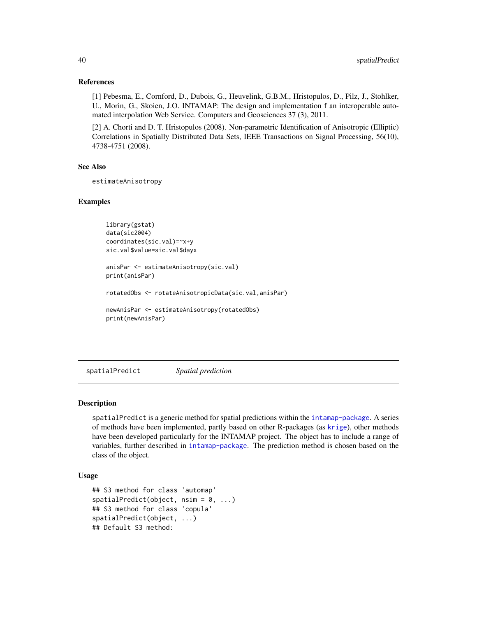# References

[1] Pebesma, E., Cornford, D., Dubois, G., Heuvelink, G.B.M., Hristopulos, D., Pilz, J., Stohlker, U., Morin, G., Skoien, J.O. INTAMAP: The design and implementation f an interoperable automated interpolation Web Service. Computers and Geosciences 37 (3), 2011.

[2] A. Chorti and D. T. Hristopulos (2008). Non-parametric Identification of Anisotropic (Elliptic) Correlations in Spatially Distributed Data Sets, IEEE Transactions on Signal Processing, 56(10), 4738-4751 (2008).

#### See Also

estimateAnisotropy

# Examples

```
library(gstat)
data(sic2004)
coordinates(sic.val)=~x+y
sic.val$value=sic.val$dayx
anisPar <- estimateAnisotropy(sic.val)
print(anisPar)
```
rotatedObs <- rotateAnisotropicData(sic.val,anisPar)

```
newAnisPar <- estimateAnisotropy(rotatedObs)
print(newAnisPar)
```
<span id="page-39-1"></span>spatialPredict *Spatial prediction*

# <span id="page-39-2"></span>Description

spatialPredict is a generic method for spatial predictions within the [intamap-package](#page-1-1). A series of methods have been implemented, partly based on other R-packages (as [krige](#page-0-0)), other methods have been developed particularly for the INTAMAP project. The object has to include a range of variables, further described in [intamap-package](#page-1-1). The prediction method is chosen based on the class of the object.

# Usage

```
## S3 method for class 'automap'
spatialPredict(object, nsim = 0, ...)## S3 method for class 'copula'
spatialPredict(object, ...)
## Default S3 method:
```
<span id="page-39-0"></span>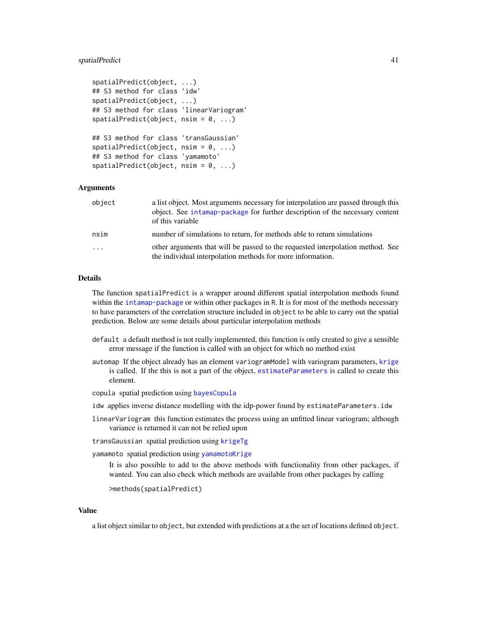# <span id="page-40-0"></span>spatialPredict 41

```
spatialPredict(object, ...)
## S3 method for class 'idw'
spatialPredict(object, ...)
## S3 method for class 'linearVariogram'
spatialPredict(object, nsim = 0, ...)## S3 method for class 'transGaussian'
spatialPredict(object, nsim = 0, ...)## S3 method for class 'yamamoto'
spatialPredict(object, nsim = 0, ...)
```
# Arguments

| object   | a list object. Most arguments necessary for interpolation are passed through this<br>object. See intamap-package for further description of the necessary content<br>of this variable |
|----------|---------------------------------------------------------------------------------------------------------------------------------------------------------------------------------------|
| nsim     | number of simulations to return, for methods able to return simulations                                                                                                               |
| $\ddots$ | other arguments that will be passed to the requested interpolation method. See<br>the individual interpolation methods for more information.                                          |

# Details

The function spatialPredict is a wrapper around different spatial interpolation methods found within the [intamap-package](#page-1-1) or within other packages in R. It is for most of the methods necessary to have parameters of the correlation structure included in object to be able to carry out the spatial prediction. Below are some details about particular interpolation methods

- default a default method is not really implemented, this function is only created to give a sensible error message if the function is called with an object for which no method exist
- automap If the object already has an element variogramModel with variogram parameters, [krige](#page-0-0) is called. If the this is not a part of the object, [estimateParameters](#page-20-1) is called to create this element.
- copula spatial prediction using [bayesCopula](#page-5-1)
- idw applies inverse distance modelling with the idp-power found by estimateParameters.idw
- linearVariogram this function estimates the process using an unfitted linear variogram; although variance is returned it can not be relied upon

transGaussian spatial prediction using [krigeTg](#page-0-0)

yamamoto spatial prediction using [yamamotoKrige](#page-45-1)

It is also possible to add to the above methods with functionality from other packages, if wanted. You can also check which methods are available from other packages by calling

>methods(spatialPredict)

# Value

a list object similar to object, but extended with predictions at a the set of locations defined object.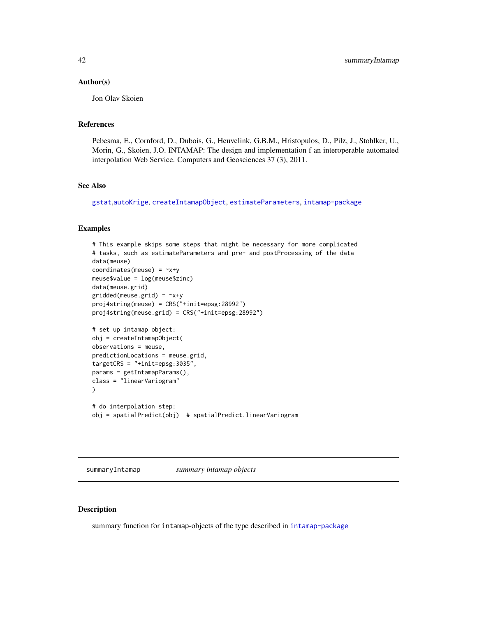#### <span id="page-41-0"></span>Author(s)

Jon Olav Skoien

# References

Pebesma, E., Cornford, D., Dubois, G., Heuvelink, G.B.M., Hristopulos, D., Pilz, J., Stohlker, U., Morin, G., Skoien, J.O. INTAMAP: The design and implementation f an interoperable automated interpolation Web Service. Computers and Geosciences 37 (3), 2011.

# See Also

[gstat](#page-0-0),[autoKrige](#page-0-0), [createIntamapObject](#page-15-1), [estimateParameters](#page-20-1), [intamap-package](#page-1-1)

#### Examples

```
# This example skips some steps that might be necessary for more complicated
# tasks, such as estimateParameters and pre- and postProcessing of the data
data(meuse)
coordinates(meuse) = ~x+y
meuse$value = log(meuse$zinc)
data(meuse.grid)
gridded(mouse.grid) = \gamma xyproj4string(meuse) = CRS("+init=epsg:28992")
proj4string(meuse.grid) = CRS("+init=epsg:28992")
# set up intamap object:
obj = createIntamapObject(
observations = meuse,
predictionLocations = meuse.grid,
targetCRS = "+init=epsg:3035",
params = getIntamapParams(),
class = "linearVariogram"
\lambda# do interpolation step:
obj = spatialPredict(obj) # spatialPredict.linearVariogram
```
summaryIntamap *summary intamap objects*

#### Description

summary function for intamap-objects of the type described in [intamap-package](#page-1-1)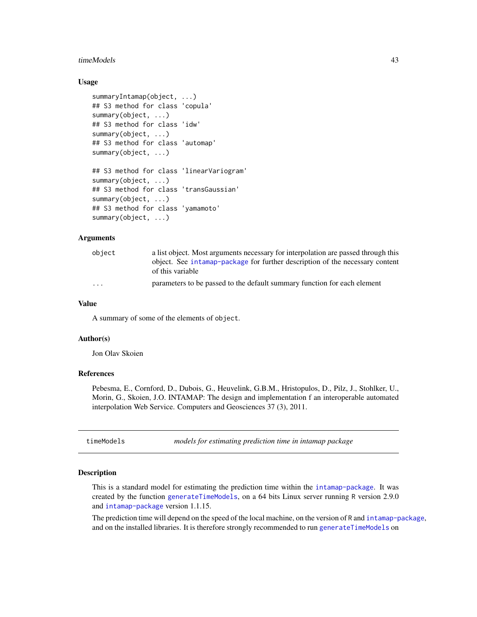#### <span id="page-42-0"></span>timeModels 43

# Usage

```
summaryIntamap(object, ...)
## S3 method for class 'copula'
summary(object, ...)
## S3 method for class 'idw'
summary(object, ...)
## S3 method for class 'automap'
summary(object, ...)
## S3 method for class 'linearVariogram'
summary(object, ...)
## S3 method for class 'transGaussian'
summary(object, ...)
## S3 method for class 'yamamoto'
summary(object, ...)
```
# Arguments

| obiect                  | a list object. Most arguments necessary for interpolation are passed through this |
|-------------------------|-----------------------------------------------------------------------------------|
|                         | object. See intamap-package for further description of the necessary content      |
|                         | of this variable                                                                  |
| $\cdot$ $\cdot$ $\cdot$ | parameters to be passed to the default summary function for each element          |

# Value

A summary of some of the elements of object.

# Author(s)

Jon Olav Skoien

#### References

Pebesma, E., Cornford, D., Dubois, G., Heuvelink, G.B.M., Hristopulos, D., Pilz, J., Stohlker, U., Morin, G., Skoien, J.O. INTAMAP: The design and implementation f an interoperable automated interpolation Web Service. Computers and Geosciences 37 (3), 2011.

timeModels *models for estimating prediction time in intamap package*

#### **Description**

This is a standard model for estimating the prediction time within the [intamap-package](#page-1-1). It was created by the function [generateTimeModels](#page-24-1), on a 64 bits Linux server running R version 2.9.0 and [intamap-package](#page-1-1) version 1.1.15.

The prediction time will depend on the speed of the local machine, on the version of R and [intamap-package](#page-1-1), and on the installed libraries. It is therefore strongly recommended to run [generateTimeModels](#page-24-1) on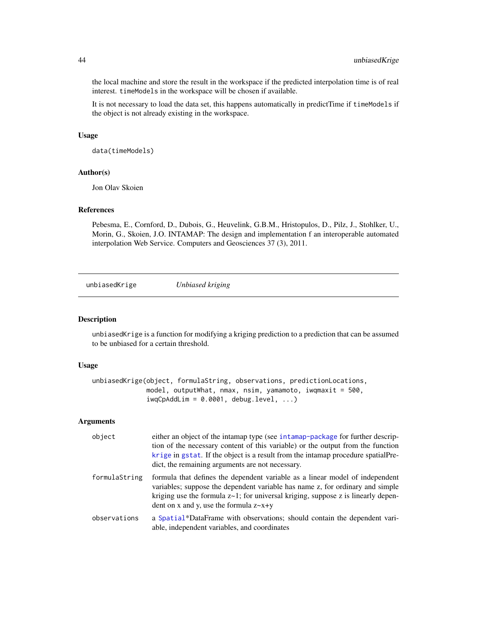the local machine and store the result in the workspace if the predicted interpolation time is of real interest. timeModels in the workspace will be chosen if available.

It is not necessary to load the data set, this happens automatically in predictTime if timeModels if the object is not already existing in the workspace.

#### Usage

data(timeModels)

### Author(s)

Jon Olav Skoien

#### References

Pebesma, E., Cornford, D., Dubois, G., Heuvelink, G.B.M., Hristopulos, D., Pilz, J., Stohlker, U., Morin, G., Skoien, J.O. INTAMAP: The design and implementation f an interoperable automated interpolation Web Service. Computers and Geosciences 37 (3), 2011.

<span id="page-43-1"></span>unbiasedKrige *Unbiased kriging*

# Description

unbiasedKrige is a function for modifying a kriging prediction to a prediction that can be assumed to be unbiased for a certain threshold.

### Usage

```
unbiasedKrige(object, formulaString, observations, predictionLocations,
             model, outputWhat, nmax, nsim, yamamoto, iwqmaxit = 500,
              iwqCpAddLim = 0.0001, debug.level, ...)
```
# Arguments

| object        | either an object of the intamap type (see intamap-package for further descrip-<br>tion of the necessary content of this variable) or the output from the function<br>krige in gstat. If the object is a result from the intamap procedure spatial Pre-<br>dict, the remaining arguments are not necessary. |
|---------------|------------------------------------------------------------------------------------------------------------------------------------------------------------------------------------------------------------------------------------------------------------------------------------------------------------|
| formulaString | formula that defines the dependent variable as a linear model of independent<br>variables; suppose the dependent variable has name z, for ordinary and simple<br>kriging use the formula $z \sim 1$ ; for universal kriging, suppose z is linearly depen-<br>dent on x and y, use the formula $z \sim x+y$ |
| observations  | a Spatial*DataFrame with observations; should contain the dependent vari-<br>able, independent variables, and coordinates                                                                                                                                                                                  |

<span id="page-43-0"></span>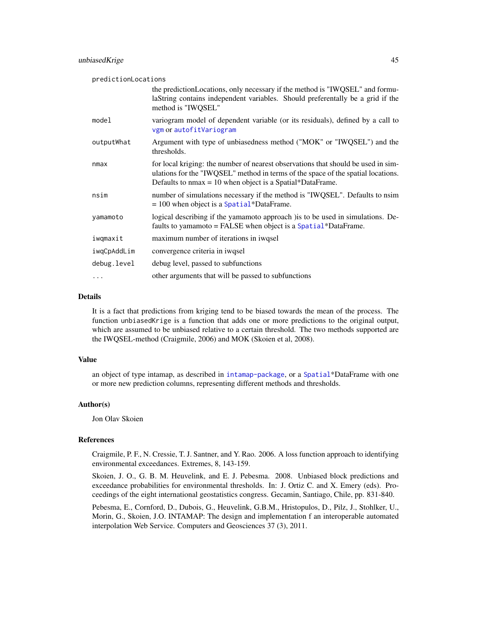<span id="page-44-0"></span>

| predictionLocations |                                                                                                                                                                                                                                      |
|---------------------|--------------------------------------------------------------------------------------------------------------------------------------------------------------------------------------------------------------------------------------|
|                     | the prediction Locations, only necessary if the method is "IWQSEL" and formu-<br>laString contains independent variables. Should preferentally be a grid if the<br>method is "IWQSEL"                                                |
| model               | variogram model of dependent variable (or its residuals), defined by a call to<br>vgm or autofitVariogram                                                                                                                            |
| outputWhat          | Argument with type of unbiasedness method ("MOK" or "IWQSEL") and the<br>thresholds.                                                                                                                                                 |
| nmax                | for local kriging: the number of nearest observations that should be used in sim-<br>ulations for the "IWQSEL" method in terms of the space of the spatial locations.<br>Defaults to $nmax = 10$ when object is a Spatial*DataFrame. |
| nsim                | number of simulations necessary if the method is "IWQSEL". Defaults to nsim<br>$= 100$ when object is a Spatial*DataFrame.                                                                                                           |
| yamamoto            | logical describing if the yamamoto approach ) is to be used in simulations. De-<br>faults to yamamoto = FALSE when object is a $Spatial*DataFrame$ .                                                                                 |
| iwqmaxit            | maximum number of iterations in iwqsel                                                                                                                                                                                               |
| iwqCpAddLim         | convergence criteria in iwqsel                                                                                                                                                                                                       |
| debug.level         | debug level, passed to subfunctions                                                                                                                                                                                                  |
| $\cdots$            | other arguments that will be passed to subfunctions                                                                                                                                                                                  |

# Details

It is a fact that predictions from kriging tend to be biased towards the mean of the process. The function unbiasedKrige is a function that adds one or more predictions to the original output, which are assumed to be unbiased relative to a certain threshold. The two methods supported are the IWQSEL-method (Craigmile, 2006) and MOK (Skoien et al, 2008).

#### Value

an object of type intamap, as described in [intamap-package](#page-1-1), or a [Spatial](#page-0-0)\*DataFrame with one or more new prediction columns, representing different methods and thresholds.

#### Author(s)

Jon Olav Skoien

#### References

Craigmile, P. F., N. Cressie, T. J. Santner, and Y. Rao. 2006. A loss function approach to identifying environmental exceedances. Extremes, 8, 143-159.

Skoien, J. O., G. B. M. Heuvelink, and E. J. Pebesma. 2008. Unbiased block predictions and exceedance probabilities for environmental thresholds. In: J. Ortiz C. and X. Emery (eds). Proceedings of the eight international geostatistics congress. Gecamin, Santiago, Chile, pp. 831-840.

Pebesma, E., Cornford, D., Dubois, G., Heuvelink, G.B.M., Hristopulos, D., Pilz, J., Stohlker, U., Morin, G., Skoien, J.O. INTAMAP: The design and implementation f an interoperable automated interpolation Web Service. Computers and Geosciences 37 (3), 2011.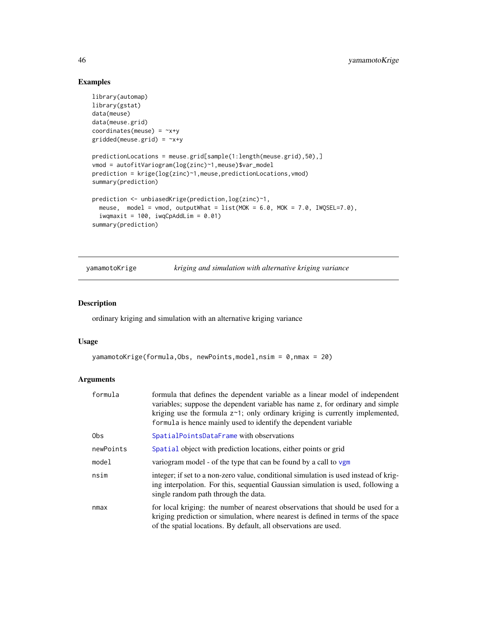# Examples

```
library(automap)
library(gstat)
data(meuse)
data(meuse.grid)
coordinates(meuse) = -x+ygridded(mouse.grid) = \gamma x + ypredictionLocations = meuse.grid[sample(1:length(meuse.grid),50),]
vmod = autofitVariogram(log(zinc)~1,meuse)$var_model
prediction = krige(log(zinc)~1,meuse,predictionLocations,vmod)
summary(prediction)
prediction <- unbiasedKrige(prediction,log(zinc)~1,
  meuse, model = vmod, outputWhat = list(MOK = 6.0, MOK = 7.0, IWQSEL=7.0),
  iwqmaxit = 100, iwqCpAddLim = 0.01)
summary(prediction)
```
<span id="page-45-1"></span>yamamotoKrige *kriging and simulation with alternative kriging variance*

# Description

ordinary kriging and simulation with an alternative kriging variance

#### Usage

```
yamamotoKrige(formula, Obs, newPoints, model, nsim = 0, nmax = 20)
```
# Arguments

| formula   | formula that defines the dependent variable as a linear model of independent<br>variables; suppose the dependent variable has name z, for ordinary and simple<br>kriging use the formula $z^1$ ; only ordinary kriging is currently implemented,<br>formula is hence mainly used to identify the dependent variable |
|-----------|---------------------------------------------------------------------------------------------------------------------------------------------------------------------------------------------------------------------------------------------------------------------------------------------------------------------|
| 0bs.      | SpatialPointsDataFrame with observations                                                                                                                                                                                                                                                                            |
| newPoints | Spatial object with prediction locations, either points or grid                                                                                                                                                                                                                                                     |
| model     | variogram model - of the type that can be found by a call to $vgm$                                                                                                                                                                                                                                                  |
| nsim      | integer; if set to a non-zero value, conditional simulation is used instead of krig-<br>ing interpolation. For this, sequential Gaussian simulation is used, following a<br>single random path through the data.                                                                                                    |
| nmax      | for local kriging: the number of nearest observations that should be used for a<br>kriging prediction or simulation, where nearest is defined in terms of the space<br>of the spatial locations. By default, all observations are used.                                                                             |

<span id="page-45-0"></span>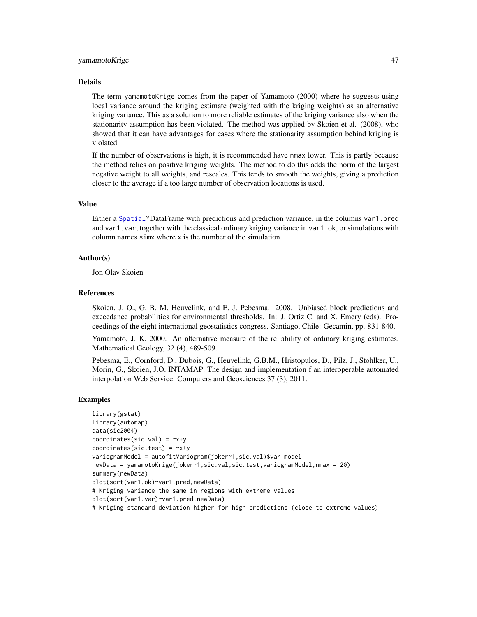#### <span id="page-46-0"></span>yamamotoKrige 47

#### Details

The term yamamotoKrige comes from the paper of Yamamoto (2000) where he suggests using local variance around the kriging estimate (weighted with the kriging weights) as an alternative kriging variance. This as a solution to more reliable estimates of the kriging variance also when the stationarity assumption has been violated. The method was applied by Skoien et al. (2008), who showed that it can have advantages for cases where the stationarity assumption behind kriging is violated.

If the number of observations is high, it is recommended have nmax lower. This is partly because the method relies on positive kriging weights. The method to do this adds the norm of the largest negative weight to all weights, and rescales. This tends to smooth the weights, giving a prediction closer to the average if a too large number of observation locations is used.

#### Value

Either a [Spatial](#page-0-0)\*DataFrame with predictions and prediction variance, in the columns var1.pred and var1.var, together with the classical ordinary kriging variance in var1.ok, or simulations with column names simx where x is the number of the simulation.

# Author(s)

Jon Olav Skoien

#### References

Skoien, J. O., G. B. M. Heuvelink, and E. J. Pebesma. 2008. Unbiased block predictions and exceedance probabilities for environmental thresholds. In: J. Ortiz C. and X. Emery (eds). Proceedings of the eight international geostatistics congress. Santiago, Chile: Gecamin, pp. 831-840.

Yamamoto, J. K. 2000. An alternative measure of the reliability of ordinary kriging estimates. Mathematical Geology, 32 (4), 489-509.

Pebesma, E., Cornford, D., Dubois, G., Heuvelink, G.B.M., Hristopulos, D., Pilz, J., Stohlker, U., Morin, G., Skoien, J.O. INTAMAP: The design and implementation f an interoperable automated interpolation Web Service. Computers and Geosciences 37 (3), 2011.

# Examples

```
library(gstat)
library(automap)
data(sic2004)
coordinates(size.val) = x+ycoordinates(sic.test) = -x+yvariogramModel = autofitVariogram(joker~1,sic.val)$var_model
newData = yamamotoKrige(joker~1,sic.val,sic.test,variogramModel,nmax = 20)
summary(newData)
plot(sqrt(var1.ok)~var1.pred,newData)
# Kriging variance the same in regions with extreme values
plot(sqrt(var1.var)~var1.pred,newData)
# Kriging standard deviation higher for high predictions (close to extreme values)
```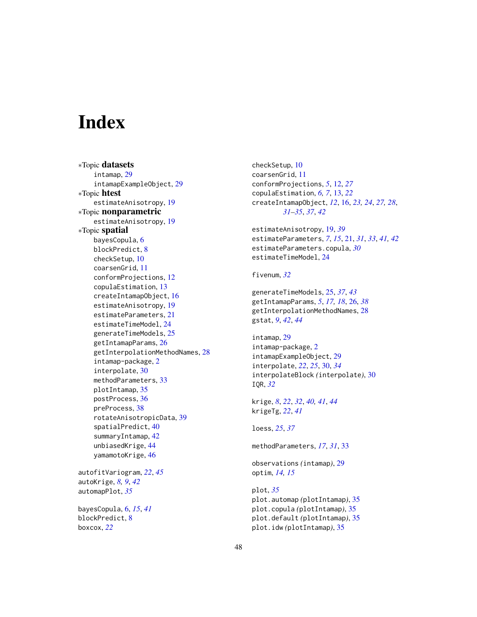# <span id="page-47-0"></span>**Index**

∗Topic datasets intamap, [29](#page-28-0) intamapExampleObject, [29](#page-28-0) ∗Topic htest estimateAnisotropy, [19](#page-18-0) ∗Topic nonparametric estimateAnisotropy, [19](#page-18-0) ∗Topic spatial bayesCopula, [6](#page-5-0) blockPredict, [8](#page-7-0) checkSetup, [10](#page-9-0) coarsenGrid, [11](#page-10-0) conformProjections, [12](#page-11-0) copulaEstimation, [13](#page-12-0) createIntamapObject, [16](#page-15-0) estimateAnisotropy, [19](#page-18-0) estimateParameters, [21](#page-20-0) estimateTimeModel, [24](#page-23-0) generateTimeModels, [25](#page-24-0) getIntamapParams, [26](#page-25-0) getInterpolationMethodNames, [28](#page-27-0) intamap-package, [2](#page-1-0) interpolate, [30](#page-29-0) methodParameters, [33](#page-32-0) plotIntamap, [35](#page-34-0) postProcess, [36](#page-35-0) preProcess, [38](#page-37-0) rotateAnisotropicData, [39](#page-38-0) spatialPredict, [40](#page-39-0) summaryIntamap, [42](#page-41-0) unbiasedKrige, [44](#page-43-0) yamamotoKrige, [46](#page-45-0) autofitVariogram, *[22](#page-21-0)*, *[45](#page-44-0)* autoKrige, *[8,](#page-7-0) [9](#page-8-0)*, *[42](#page-41-0)* automapPlot, *[35](#page-34-0)* bayesCopula, [6,](#page-5-0) *[15](#page-14-0)*, *[41](#page-40-0)*

blockPredict, [8](#page-7-0) boxcox, *[22](#page-21-0)*

checkSetup, [10](#page-9-0) coarsenGrid, [11](#page-10-0) conformProjections, *[5](#page-4-0)*, [12,](#page-11-0) *[27](#page-26-0)* copulaEstimation, *[6,](#page-5-0) [7](#page-6-0)*, [13,](#page-12-0) *[22](#page-21-0)* createIntamapObject, *[12](#page-11-0)*, [16,](#page-15-0) *[23,](#page-22-0) [24](#page-23-0)*, *[27,](#page-26-0) [28](#page-27-0)*, *[31](#page-30-0)[–35](#page-34-0)*, *[37](#page-36-0)*, *[42](#page-41-0)* estimateAnisotropy, [19,](#page-18-0) *[39](#page-38-0)* estimateParameters, *[7](#page-6-0)*, *[15](#page-14-0)*, [21,](#page-20-0) *[31](#page-30-0)*, *[33](#page-32-0)*, *[41,](#page-40-0) [42](#page-41-0)* estimateParameters.copula, *[30](#page-29-0)* estimateTimeModel, [24](#page-23-0) fivenum, *[32](#page-31-0)* generateTimeModels, [25,](#page-24-0) *[37](#page-36-0)*, *[43](#page-42-0)* getIntamapParams, *[5](#page-4-0)*, *[17,](#page-16-0) [18](#page-17-0)*, [26,](#page-25-0) *[38](#page-37-0)* getInterpolationMethodNames, [28](#page-27-0) gstat, *[9](#page-8-0)*, *[42](#page-41-0)*, *[44](#page-43-0)* intamap, [29](#page-28-0) intamap-package, [2](#page-1-0) intamapExampleObject, [29](#page-28-0) interpolate, *[22](#page-21-0)*, *[25](#page-24-0)*, [30,](#page-29-0) *[34](#page-33-0)* interpolateBlock *(*interpolate*)*, [30](#page-29-0) IQR, *[32](#page-31-0)* krige, *[8](#page-7-0)*, *[22](#page-21-0)*, *[32](#page-31-0)*, *[40,](#page-39-0) [41](#page-40-0)*, *[44](#page-43-0)* krigeTg, *[22](#page-21-0)*, *[41](#page-40-0)* loess, *[25](#page-24-0)*, *[37](#page-36-0)* methodParameters, *[17](#page-16-0)*, *[31](#page-30-0)*, [33](#page-32-0) observations *(*intamap*)*, [29](#page-28-0) optim, *[14,](#page-13-0) [15](#page-14-0)*

plot, *[35](#page-34-0)* plot.automap *(*plotIntamap*)*, [35](#page-34-0) plot.copula *(*plotIntamap*)*, [35](#page-34-0) plot.default *(*plotIntamap*)*, [35](#page-34-0) plot.idw *(*plotIntamap*)*, [35](#page-34-0)